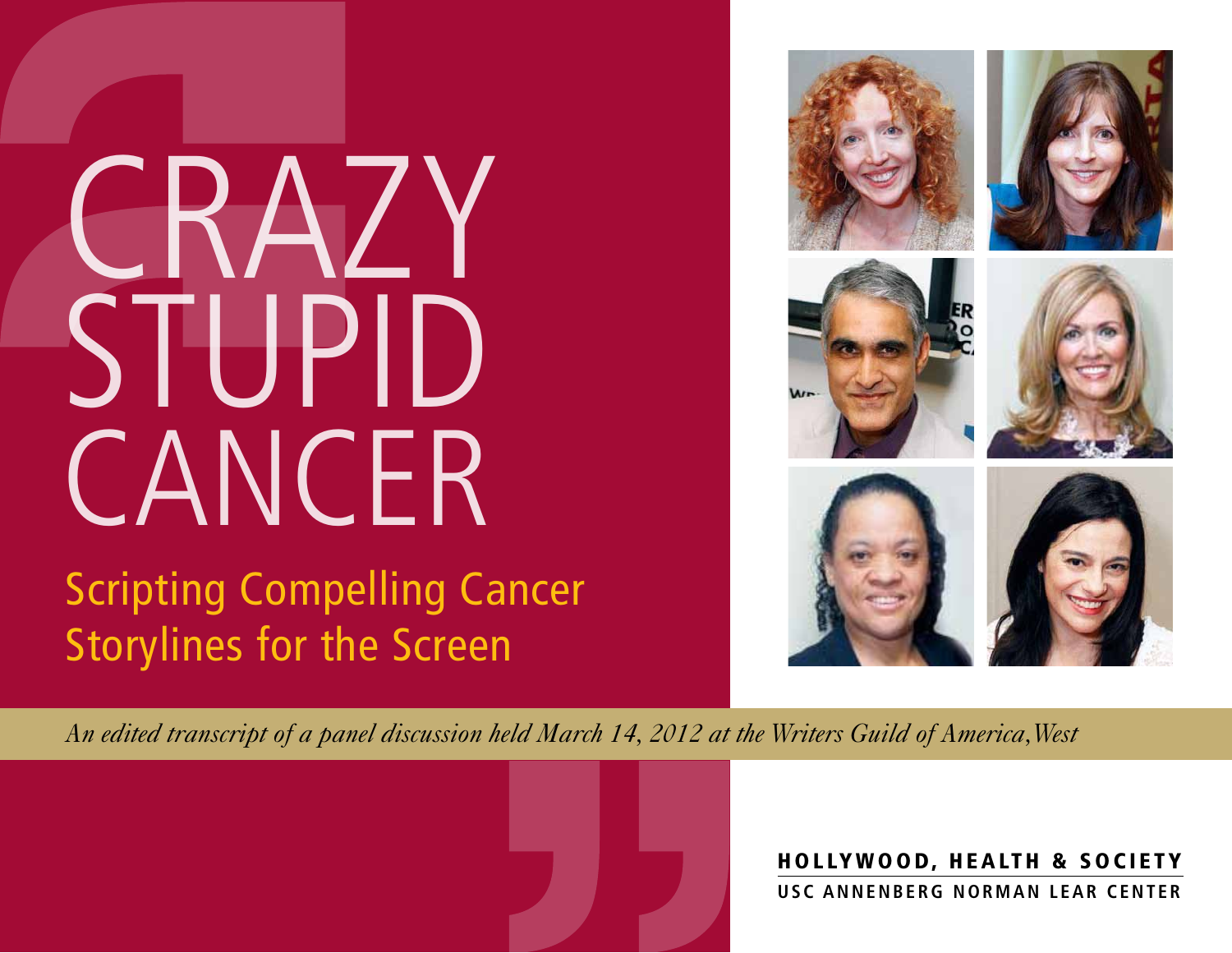# CRAZY STUPID CANCER

Scripting Compelling Cancer Storylines for the Screen



*An edited transcript of a panel discussion held March 14, 2012 at the Writers Guild of America,West*

HOLLYWOOD, HEALTH & SOCIETY **USC ANNENBERG NORMAN LEAR CENTER**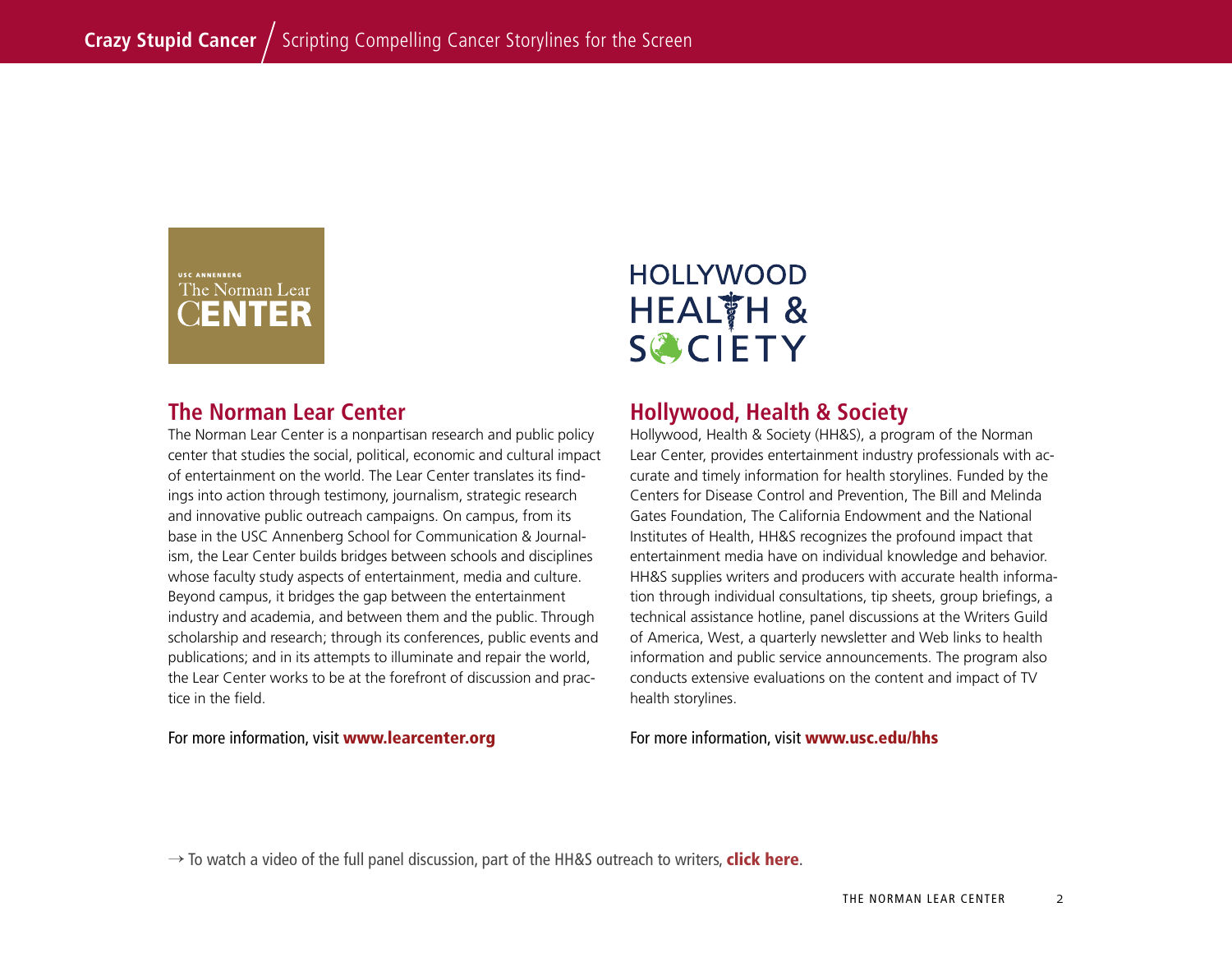# USC ANNENBERG The Norman Lear

# **The Norman Lear Center**

The Norman Lear Center is a nonpartisan research and public policy center that studies the social, political, economic and cultural impact of entertainment on the world. The Lear Center translates its findings into action through testimony, journalism, strategic research and innovative public outreach campaigns. On campus, from its base in the USC Annenberg School for Communication & Journalism, the Lear Center builds bridges between schools and disciplines whose faculty study aspects of entertainment, media and culture. Beyond campus, it bridges the gap between the entertainment industry and academia, and between them and the public. Through scholarship and research; through its conferences, public events and publications; and in its attempts to illuminate and repair the world, the Lear Center works to be at the forefront of discussion and practice in the field.

# For more information, visit [www.learcenter.org](http://www.learcenter.org)

# **HOLLYWOOD** HEALTH & **SCIETY**

# **Hollywood, Health & Society**

Hollywood, Health & Society (HH&S), a program of the Norman Lear Center, provides entertainment industry professionals with accurate and timely information for health storylines. Funded by the Centers for Disease Control and Prevention, The Bill and Melinda Gates Foundation, The California Endowment and the National Institutes of Health, HH&S recognizes the profound impact that entertainment media have on individual knowledge and behavior. HH&S supplies writers and producers with accurate health information through individual consultations, tip sheets, group briefings, a technical assistance hotline, panel discussions at the Writers Guild of America, West, a quarterly newsletter and Web links to health information and public service announcements. The program also conducts extensive evaluations on the content and impact of TV health storylines.

For more information, visit [www.usc.edu/hhs](http://www.usc.edu/hhs)

 $\rightarrow$  To watch a video of the full panel discussion, part of the HH&S outreach to writers, **[click here](http://www.youtube.com/watch?v=2Mw5poPi_AA)**.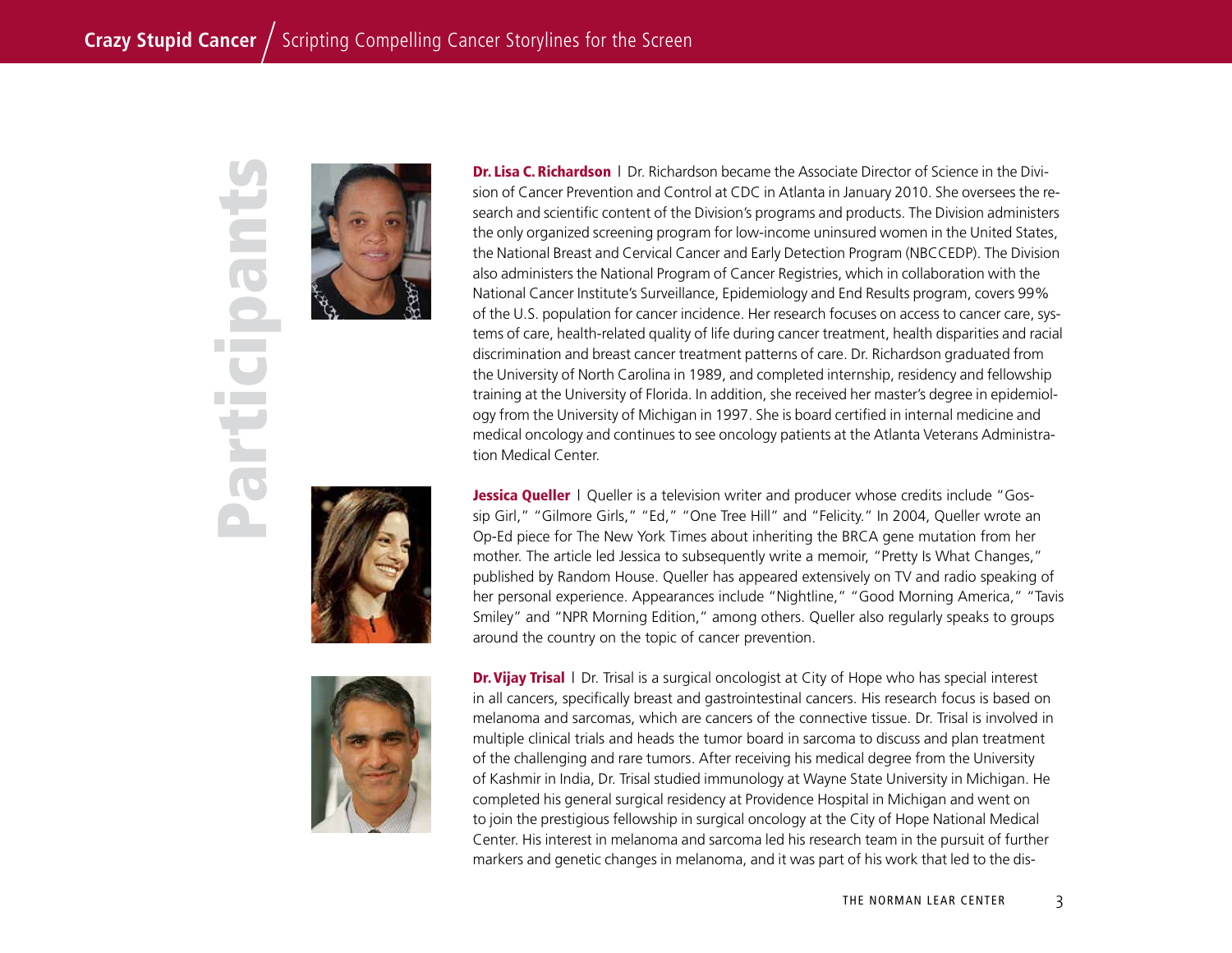ParticipantsEND **The Co** Partic



**Dr. Lisa C. Richardson** | Dr. Richardson became the Associate Director of Science in the Division of Cancer Prevention and Control at CDC in Atlanta in January 2010. She oversees the research and scientific content of the Division's programs and products. The Division administers the only organized screening program for low-income uninsured women in the United States, the National Breast and Cervical Cancer and Early Detection Program (NBCCEDP). The Division also administers the National Program of Cancer Registries, which in collaboration with the National Cancer Institute's Surveillance, Epidemiology and End Results program, covers 99% of the U.S. population for cancer incidence. Her research focuses on access to cancer care, systems of care, health-related quality of life during cancer treatment, health disparities and racial discrimination and breast cancer treatment patterns of care. Dr. Richardson graduated from the University of North Carolina in 1989, and completed internship, residency and fellowship training at the University of Florida. In addition, she received her master's degree in epidemiology from the University of Michigan in 1997. She is board certified in internal medicine and medical oncology and continues to see oncology patients at the Atlanta Veterans Administration Medical Center.



**Jessica Queller** | Queller is a television writer and producer whose credits include "Gossip Girl," "Gilmore Girls," "Ed," "One Tree Hill" and "Felicity." In 2004, Queller wrote an Op-Ed piece for The New York Times about inheriting the BRCA gene mutation from her mother. The article led Jessica to subsequently write a memoir, "Pretty Is What Changes," published by Random House. Queller has appeared extensively on TV and radio speaking of her personal experience. Appearances include "Nightline," "Good Morning America," "Tavis Smiley" and "NPR Morning Edition," among others. Queller also regularly speaks to groups around the country on the topic of cancer prevention.



**Dr. Vijay Trisal** | Dr. Trisal is a surgical oncologist at City of Hope who has special interest in all cancers, specifically breast and gastrointestinal cancers. His research focus is based on melanoma and sarcomas, which are cancers of the connective tissue. Dr. Trisal is involved in multiple clinical trials and heads the tumor board in sarcoma to discuss and plan treatment of the challenging and rare tumors. After receiving his medical degree from the University of Kashmir in India, Dr. Trisal studied immunology at Wayne State University in Michigan. He completed his general surgical residency at Providence Hospital in Michigan and went on to join the prestigious fellowship in surgical oncology at the City of Hope National Medical Center. His interest in melanoma and sarcoma led his research team in the pursuit of further markers and genetic changes in melanoma, and it was part of his work that led to the dis-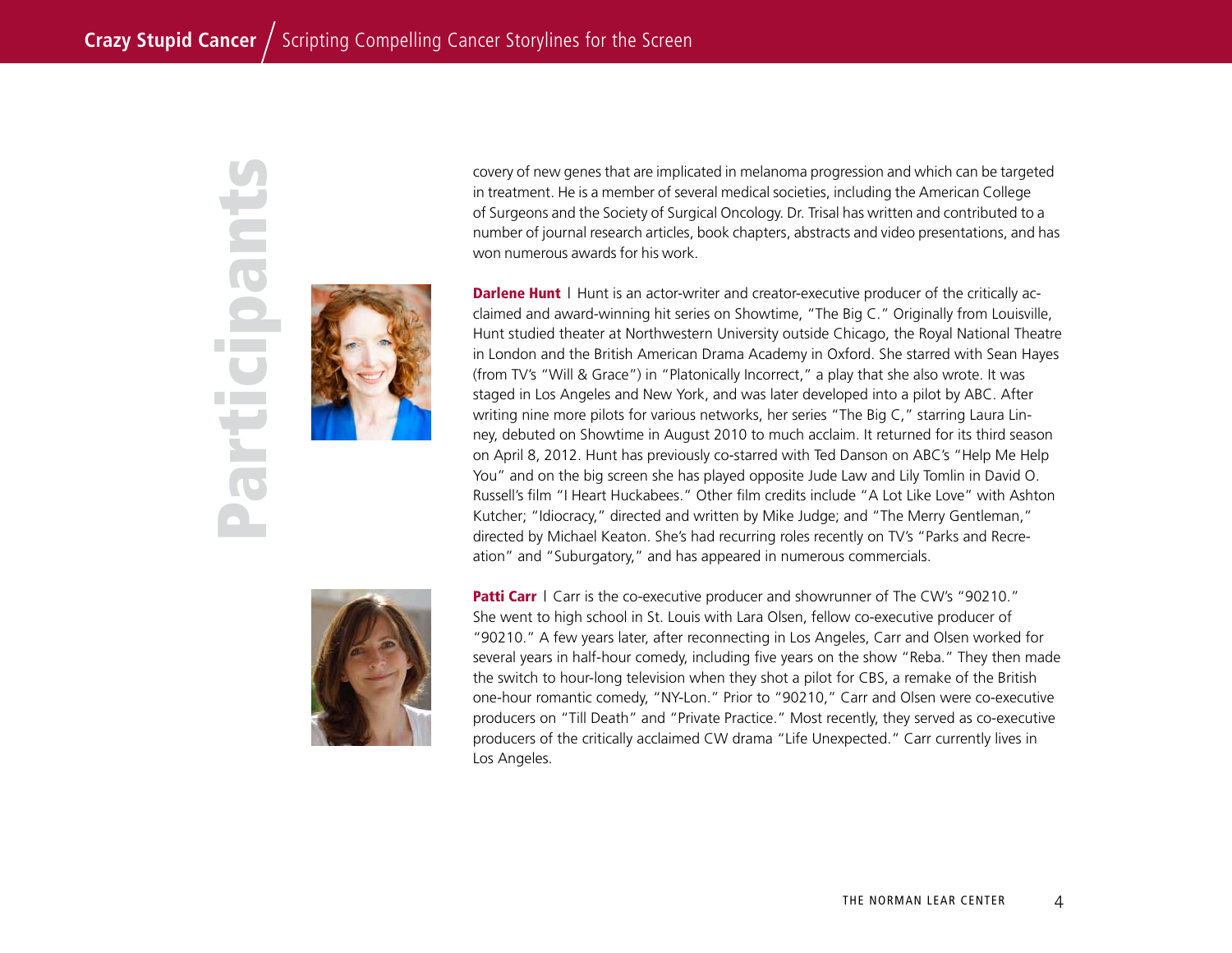ParticipantsDe pe **The Company** Partici

covery of new genes that are implicated in melanoma progression and which can be targeted in treatment. He is a member of several medical societies, including the American College of Surgeons and the Society of Surgical Oncology. Dr. Trisal has written and contributed to a number of journal research articles, book chapters, abstracts and video presentations, and has won numerous awards for his work.

**Darlene Hunt** | Hunt is an actor-writer and creator-executive producer of the critically acclaimed and award-winning hit series on Showtime, "The Big C." Originally from Louisville, Hunt studied theater at Northwestern University outside Chicago, the Royal National Theatre in London and the British American Drama Academy in Oxford. She starred with Sean Hayes (from TV's "Will & Grace") in "Platonically Incorrect," a play that she also wrote. It was staged in Los Angeles and New York, and was later developed into a pilot by ABC. After writing nine more pilots for various networks, her series "The Big C," starring Laura Linney, debuted on Showtime in August 2010 to much acclaim. It returned for its third season on April 8, 2012. Hunt has previously co-starred with Ted Danson on ABC's "Help Me Help You" and on the big screen she has played opposite Jude Law and Lily Tomlin in David O. Russell's film "I Heart Huckabees." Other film credits include "A Lot Like Love" with Ashton Kutcher; "Idiocracy," directed and written by Mike Judge; and "The Merry Gentleman," directed by Michael Keaton. She's had recurring roles recently on TV's "Parks and Recreation" and "Suburgatory," and has appeared in numerous commercials.



Patti Carr | Carr is the co-executive producer and showrunner of The CW's "90210." She went to high school in St. Louis with Lara Olsen, fellow co-executive producer of "90210." A few years later, after reconnecting in Los Angeles, Carr and Olsen worked for several years in half-hour comedy, including five years on the show "Reba." They then made the switch to hour-long television when they shot a pilot for CBS, a remake of the British one-hour romantic comedy, "NY-Lon." Prior to "90210," Carr and Olsen were co-executive producers on "Till Death" and "Private Practice." Most recently, they served as co-executive producers of the critically acclaimed CW drama "Life Unexpected." Carr currently lives in Los Angeles.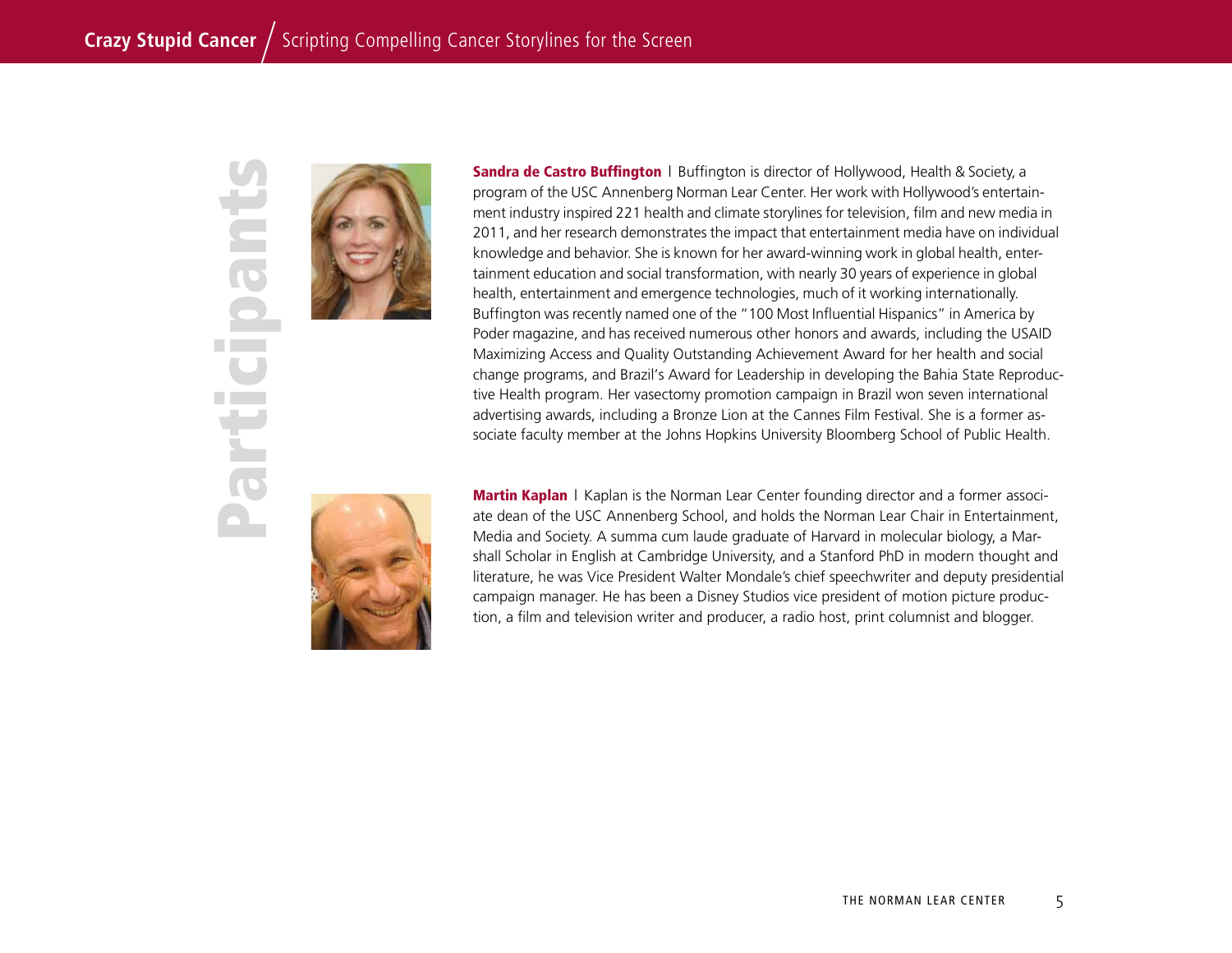Participants**Saueo The Company** Partic



**Sandra de Castro Buffington** | Buffington is director of Hollywood, Health & Society, a program of the USC Annenberg Norman Lear Center. Her work with Hollywood's entertainment industry inspired 221 health and climate storylines for television, film and new media in 2011, and her research demonstrates the impact that entertainment media have on individual knowledge and behavior. She is known for her award-winning work in global health, entertainment education and social transformation, with nearly 30 years of experience in global health, entertainment and emergence technologies, much of it working internationally. Buffington was recently named one of the "100 Most Influential Hispanics" in America by Poder magazine, and has received numerous other honors and awards, including the USAID Maximizing Access and Quality Outstanding Achievement Award for her health and social change programs, and Brazil's Award for Leadership in developing the Bahia State Reproductive Health program. Her vasectomy promotion campaign in Brazil won seven international advertising awards, including a Bronze Lion at the Cannes Film Festival. She is a former associate faculty member at the Johns Hopkins University Bloomberg School of Public Health.



Martin Kaplan | Kaplan is the Norman Lear Center founding director and a former associate dean of the USC Annenberg School, and holds the Norman Lear Chair in Entertainment, Media and Society. A summa cum laude graduate of Harvard in molecular biology, a Marshall Scholar in English at Cambridge University, and a Stanford PhD in modern thought and literature, he was Vice President Walter Mondale's chief speechwriter and deputy presidential campaign manager. He has been a Disney Studios vice president of motion picture production, a film and television writer and producer, a radio host, print columnist and blogger.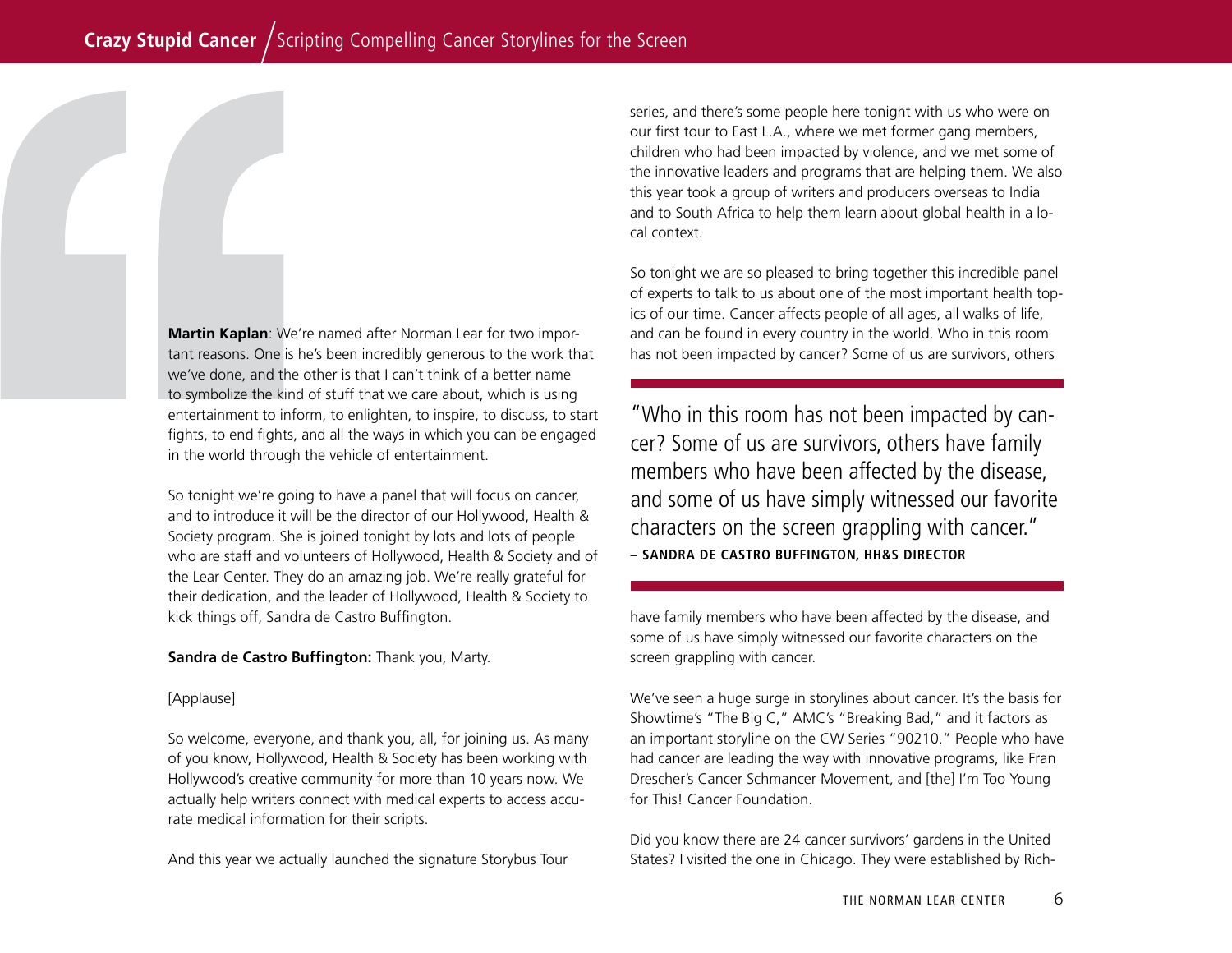**Martin Kaplan**: We're named after Norman Lear for two important reasons. One is he's been incredibly generous to the work that we've done, and the other is that I can't think of a better name to symbolize the kind of stuff that we care about, which is using entertainment to inform, to enlighten, to inspire, to discuss, to start fights, to end fights, and all the ways in which you can be engaged in the world through the vehicle of entertainment.

So tonight we're going to have a panel that will focus on cancer, and to introduce it will be the director of our Hollywood, Health & Society program. She is joined tonight by lots and lots of people who are staff and volunteers of Hollywood, Health & Society and of the Lear Center. They do an amazing job. We're really grateful for their dedication, and the leader of Hollywood, Health & Society to kick things off, Sandra de Castro Buffington.

# **Sandra de Castro Buffington:** Thank you, Marty.

## [Applause]

So welcome, everyone, and thank you, all, for joining us. As many of you know, Hollywood, Health & Society has been working with Hollywood's creative community for more than 10 years now. We actually help writers connect with medical experts to access accurate medical information for their scripts.

And this year we actually launched the signature Storybus Tour

series, and there's some people here tonight with us who were on our first tour to East L.A., where we met former gang members, children who had been impacted by violence, and we met some of the innovative leaders and programs that are helping them. We also this year took a group of writers and producers overseas to India and to South Africa to help them learn about global health in a local context.

So tonight we are so pleased to bring together this incredible panel of experts to talk to us about one of the most important health topics of our time. Cancer affects people of all ages, all walks of life, and can be found in every country in the world. Who in this room has not been impacted by cancer? Some of us are survivors, others

"Who in this room has not been impacted by cancer? Some of us are survivors, others have family members who have been affected by the disease, and some of us have simply witnessed our favorite characters on the screen grappling with cancer." **– SANDRA DE CASTRO BUFFINGTON, HH&S DIRECTOR**

have family members who have been affected by the disease, and some of us have simply witnessed our favorite characters on the screen grappling with cancer.

We've seen a huge surge in storylines about cancer. It's the basis for Showtime's "The Big C," AMC's "Breaking Bad," and it factors as an important storyline on the CW Series "90210." People who have had cancer are leading the way with innovative programs, like Fran Drescher's Cancer Schmancer Movement, and [the] I'm Too Young for This! Cancer Foundation.

Did you know there are 24 cancer survivors' gardens in the United States? I visited the one in Chicago. They were established by Rich-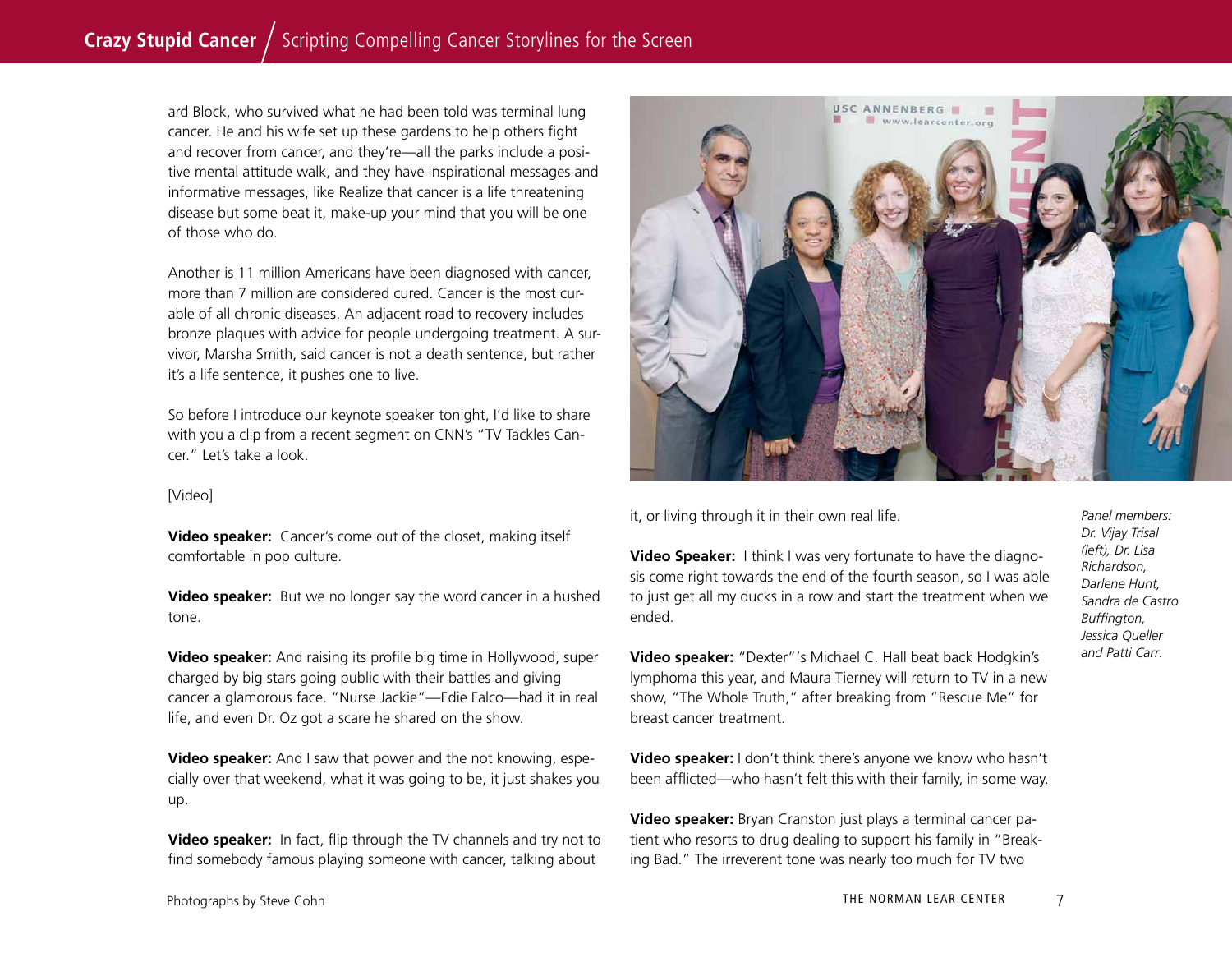# **Crazy Stupid Cancer** / Scripting Compelling Cancer Storylines for the Screen

ard Block, who survived what he had been told was terminal lung cancer. He and his wife set up these gardens to help others fight and recover from cancer, and they're—all the parks include a positive mental attitude walk, and they have inspirational messages and informative messages, like Realize that cancer is a life threatening disease but some beat it, make-up your mind that you will be one of those who do.

Another is 11 million Americans have been diagnosed with cancer, more than 7 million are considered cured. Cancer is the most curable of all chronic diseases. An adjacent road to recovery includes bronze plaques with advice for people undergoing treatment. A survivor, Marsha Smith, said cancer is not a death sentence, but rather it's a life sentence, it pushes one to live.

So before I introduce our keynote speaker tonight, I'd like to share with you a clip from a recent segment on CNN's "TV Tackles Cancer." Let's take a look.

# [Video]

**Video speaker:** Cancer's come out of the closet, making itself comfortable in pop culture.

**Video speaker:** But we no longer say the word cancer in a hushed tone.

**Video speaker:** And raising its profile big time in Hollywood, super charged by big stars going public with their battles and giving cancer a glamorous face. "Nurse Jackie"—Edie Falco—had it in real life, and even Dr. Oz got a scare he shared on the show.

**Video speaker:** And I saw that power and the not knowing, especially over that weekend, what it was going to be, it just shakes you up.

**Video speaker:** In fact, flip through the TV channels and try not to find somebody famous playing someone with cancer, talking about



it, or living through it in their own real life.

**Video Speaker:** I think I was very fortunate to have the diagnosis come right towards the end of the fourth season, so I was able to just get all my ducks in a row and start the treatment when we ended.

**Video speaker:** "Dexter"'s Michael C. Hall beat back Hodgkin's lymphoma this year, and Maura Tierney will return to TV in a new show, "The Whole Truth," after breaking from "Rescue Me" for breast cancer treatment.

**Video speaker:** I don't think there's anyone we know who hasn't been afflicted—who hasn't felt this with their family, in some way.

**Video speaker:** Bryan Cranston just plays a terminal cancer patient who resorts to drug dealing to support his family in "Breaking Bad." The irreverent tone was nearly too much for TV two

*Panel members: Dr. Vijay Trisal (left), Dr. Lisa Richardson, Darlene Hunt, Sandra de Castro Buffington, Jessica Queller and Patti Carr.*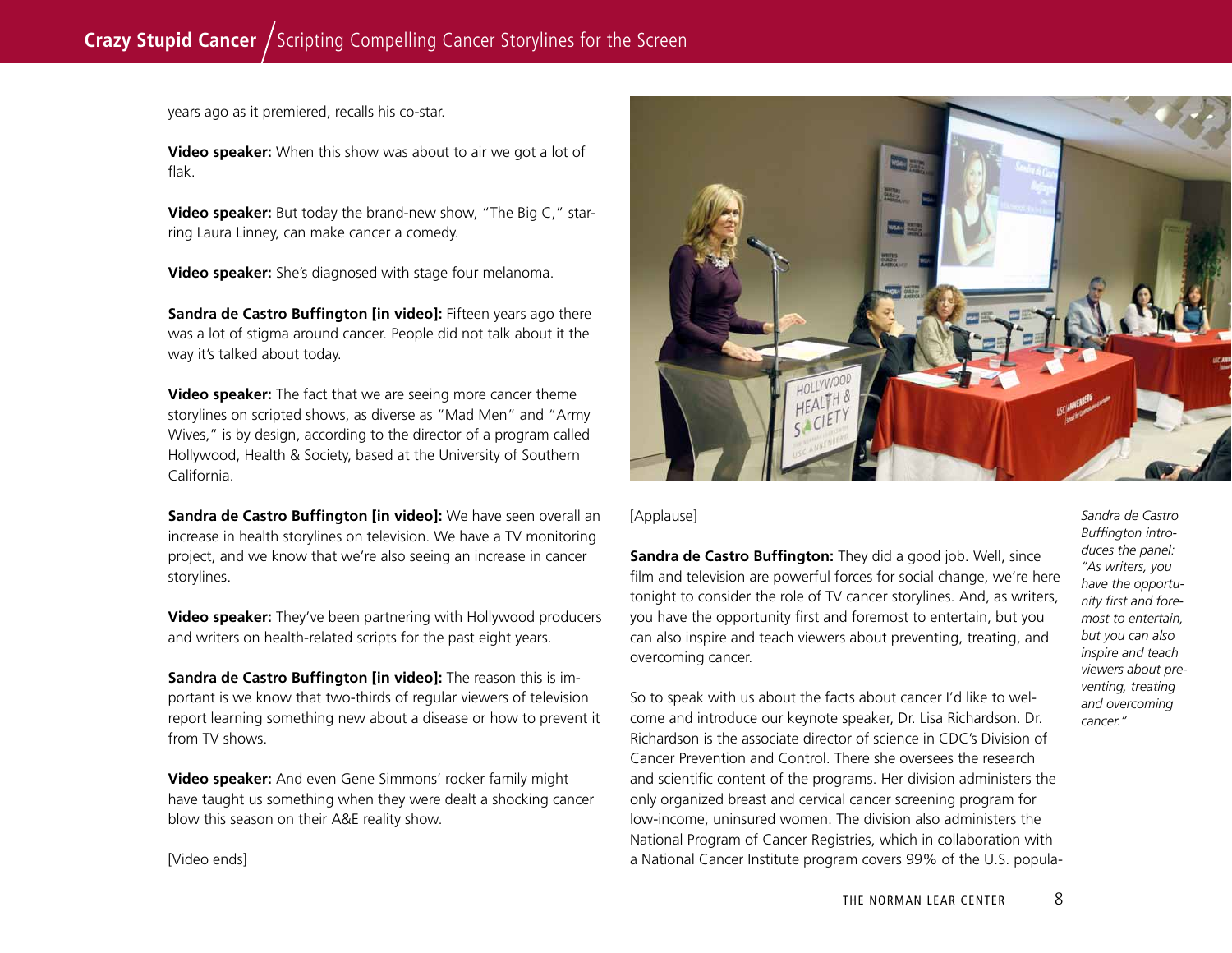years ago as it premiered, recalls his co-star.

**Video speaker:** When this show was about to air we got a lot of flak.

**Video speaker:** But today the brand-new show, "The Big C," starring Laura Linney, can make cancer a comedy.

**Video speaker:** She's diagnosed with stage four melanoma.

**Sandra de Castro Buffington [in video]:** Fifteen years ago there was a lot of stigma around cancer. People did not talk about it the way it's talked about today.

**Video speaker:** The fact that we are seeing more cancer theme storylines on scripted shows, as diverse as "Mad Men" and "Army Wives," is by design, according to the director of a program called Hollywood, Health & Society, based at the University of Southern California.

**Sandra de Castro Buffington [in video]:** We have seen overall an increase in health storylines on television. We have a TV monitoring project, and we know that we're also seeing an increase in cancer storylines.

**Video speaker:** They've been partnering with Hollywood producers and writers on health-related scripts for the past eight years.

**Sandra de Castro Buffington [in video]:** The reason this is important is we know that two-thirds of regular viewers of television report learning something new about a disease or how to prevent it from TV shows.

**Video speaker:** And even Gene Simmons' rocker family might have taught us something when they were dealt a shocking cancer blow this season on their A&E reality show.



[Applause]

**Sandra de Castro Buffington:** They did a good job. Well, since film and television are powerful forces for social change, we're here tonight to consider the role of TV cancer storylines. And, as writers, you have the opportunity first and foremost to entertain, but you can also inspire and teach viewers about preventing, treating, and overcoming cancer.

So to speak with us about the facts about cancer I'd like to welcome and introduce our keynote speaker, Dr. Lisa Richardson. Dr. Richardson is the associate director of science in CDC's Division of Cancer Prevention and Control. There she oversees the research and scientific content of the programs. Her division administers the only organized breast and cervical cancer screening program for low-income, uninsured women. The division also administers the National Program of Cancer Registries, which in collaboration with a National Cancer Institute program covers 99% of the U.S. popula-

*Sandra de Castro Buffington introduces the panel: "As writers, you have the opportunity first and foremost to entertain, but you can also inspire and teach viewers about preventing, treating and overcoming cancer."*

[Video ends]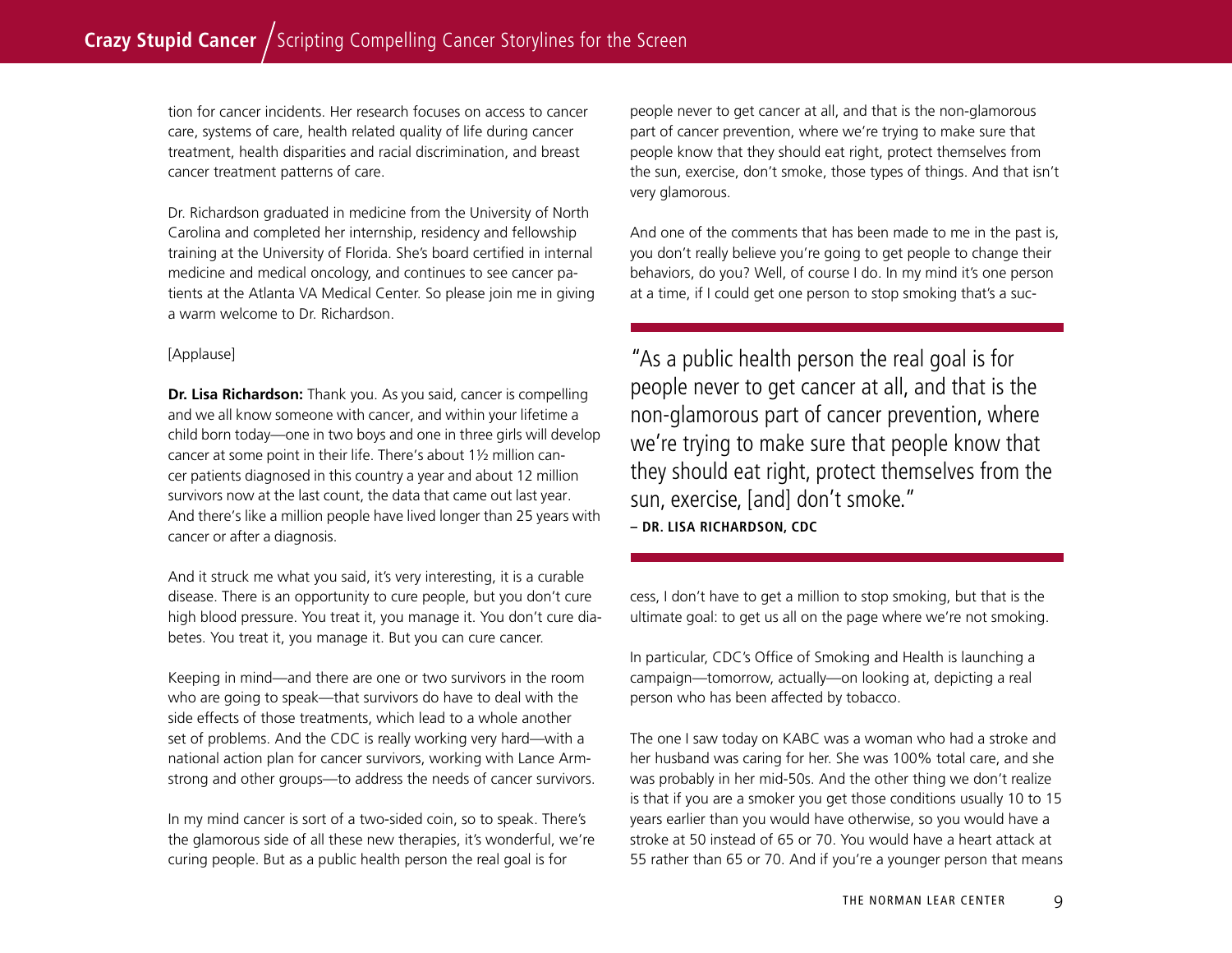tion for cancer incidents. Her research focuses on access to cancer care, systems of care, health related quality of life during cancer treatment, health disparities and racial discrimination, and breast cancer treatment patterns of care.

Dr. Richardson graduated in medicine from the University of North Carolina and completed her internship, residency and fellowship training at the University of Florida. She's board certified in internal medicine and medical oncology, and continues to see cancer patients at the Atlanta VA Medical Center. So please join me in giving a warm welcome to Dr. Richardson.

# [Applause]

**Dr. Lisa Richardson:** Thank you. As you said, cancer is compelling and we all know someone with cancer, and within your lifetime a child born today—one in two boys and one in three girls will develop cancer at some point in their life. There's about 1½ million cancer patients diagnosed in this country a year and about 12 million survivors now at the last count, the data that came out last year. And there's like a million people have lived longer than 25 years with cancer or after a diagnosis.

And it struck me what you said, it's very interesting, it is a curable disease. There is an opportunity to cure people, but you don't cure high blood pressure. You treat it, you manage it. You don't cure diabetes. You treat it, you manage it. But you can cure cancer.

Keeping in mind—and there are one or two survivors in the room who are going to speak—that survivors do have to deal with the side effects of those treatments, which lead to a whole another set of problems. And the CDC is really working very hard—with a national action plan for cancer survivors, working with Lance Armstrong and other groups—to address the needs of cancer survivors.

In my mind cancer is sort of a two-sided coin, so to speak. There's the glamorous side of all these new therapies, it's wonderful, we're curing people. But as a public health person the real goal is for

people never to get cancer at all, and that is the non-glamorous part of cancer prevention, where we're trying to make sure that people know that they should eat right, protect themselves from the sun, exercise, don't smoke, those types of things. And that isn't very glamorous.

And one of the comments that has been made to me in the past is, you don't really believe you're going to get people to change their behaviors, do you? Well, of course I do. In my mind it's one person at a time, if I could get one person to stop smoking that's a suc-

"As a public health person the real goal is for people never to get cancer at all, and that is the non-glamorous part of cancer prevention, where we're trying to make sure that people know that they should eat right, protect themselves from the sun, exercise, [and] don't smoke." **– DR. LISA RICHARDSON, CDC**

cess, I don't have to get a million to stop smoking, but that is the ultimate goal: to get us all on the page where we're not smoking.

In particular, CDC's Office of Smoking and Health is launching a campaign—tomorrow, actually—on looking at, depicting a real person who has been affected by tobacco.

The one I saw today on KABC was a woman who had a stroke and her husband was caring for her. She was 100% total care, and she was probably in her mid-50s. And the other thing we don't realize is that if you are a smoker you get those conditions usually 10 to 15 years earlier than you would have otherwise, so you would have a stroke at 50 instead of 65 or 70. You would have a heart attack at 55 rather than 65 or 70. And if you're a younger person that means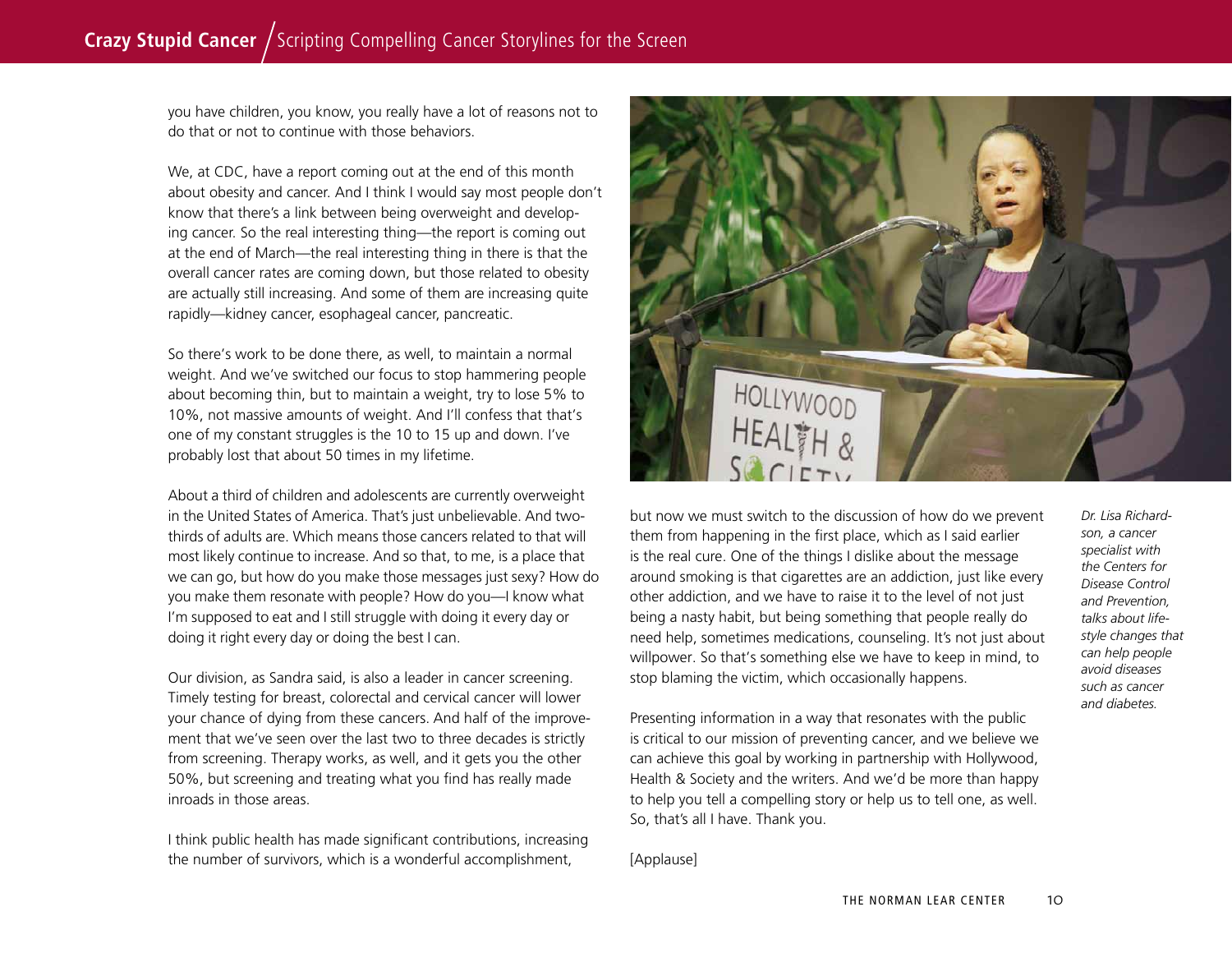you have children, you know, you really have a lot of reasons not to do that or not to continue with those behaviors.

We, at CDC, have a report coming out at the end of this month about obesity and cancer. And I think I would say most people don't know that there's a link between being overweight and developing cancer. So the real interesting thing—the report is coming out at the end of March—the real interesting thing in there is that the overall cancer rates are coming down, but those related to obesity are actually still increasing. And some of them are increasing quite rapidly—kidney cancer, esophageal cancer, pancreatic.

So there's work to be done there, as well, to maintain a normal weight. And we've switched our focus to stop hammering people about becoming thin, but to maintain a weight, try to lose 5% to 10%, not massive amounts of weight. And I'll confess that that's one of my constant struggles is the 10 to 15 up and down. I've probably lost that about 50 times in my lifetime.

About a third of children and adolescents are currently overweight in the United States of America. That's just unbelievable. And twothirds of adults are. Which means those cancers related to that will most likely continue to increase. And so that, to me, is a place that we can go, but how do you make those messages just sexy? How do you make them resonate with people? How do you—I know what I'm supposed to eat and I still struggle with doing it every day or doing it right every day or doing the best I can.

Our division, as Sandra said, is also a leader in cancer screening. Timely testing for breast, colorectal and cervical cancer will lower your chance of dying from these cancers. And half of the improvement that we've seen over the last two to three decades is strictly from screening. Therapy works, as well, and it gets you the other 50%, but screening and treating what you find has really made inroads in those areas.

I think public health has made significant contributions, increasing the number of survivors, which is a wonderful accomplishment,



but now we must switch to the discussion of how do we prevent them from happening in the first place, which as I said earlier is the real cure. One of the things I dislike about the message around smoking is that cigarettes are an addiction, just like every other addiction, and we have to raise it to the level of not just being a nasty habit, but being something that people really do need help, sometimes medications, counseling. It's not just about willpower. So that's something else we have to keep in mind, to stop blaming the victim, which occasionally happens.

Presenting information in a way that resonates with the public is critical to our mission of preventing cancer, and we believe we can achieve this goal by working in partnership with Hollywood, Health & Society and the writers. And we'd be more than happy to help you tell a compelling story or help us to tell one, as well. So, that's all I have. Thank you.

[Applause]

*Dr. Lisa Richardson, a cancer specialist with the Centers for Disease Control and Prevention, talks about lifestyle changes that can help people avoid diseases such as cancer and diabetes.*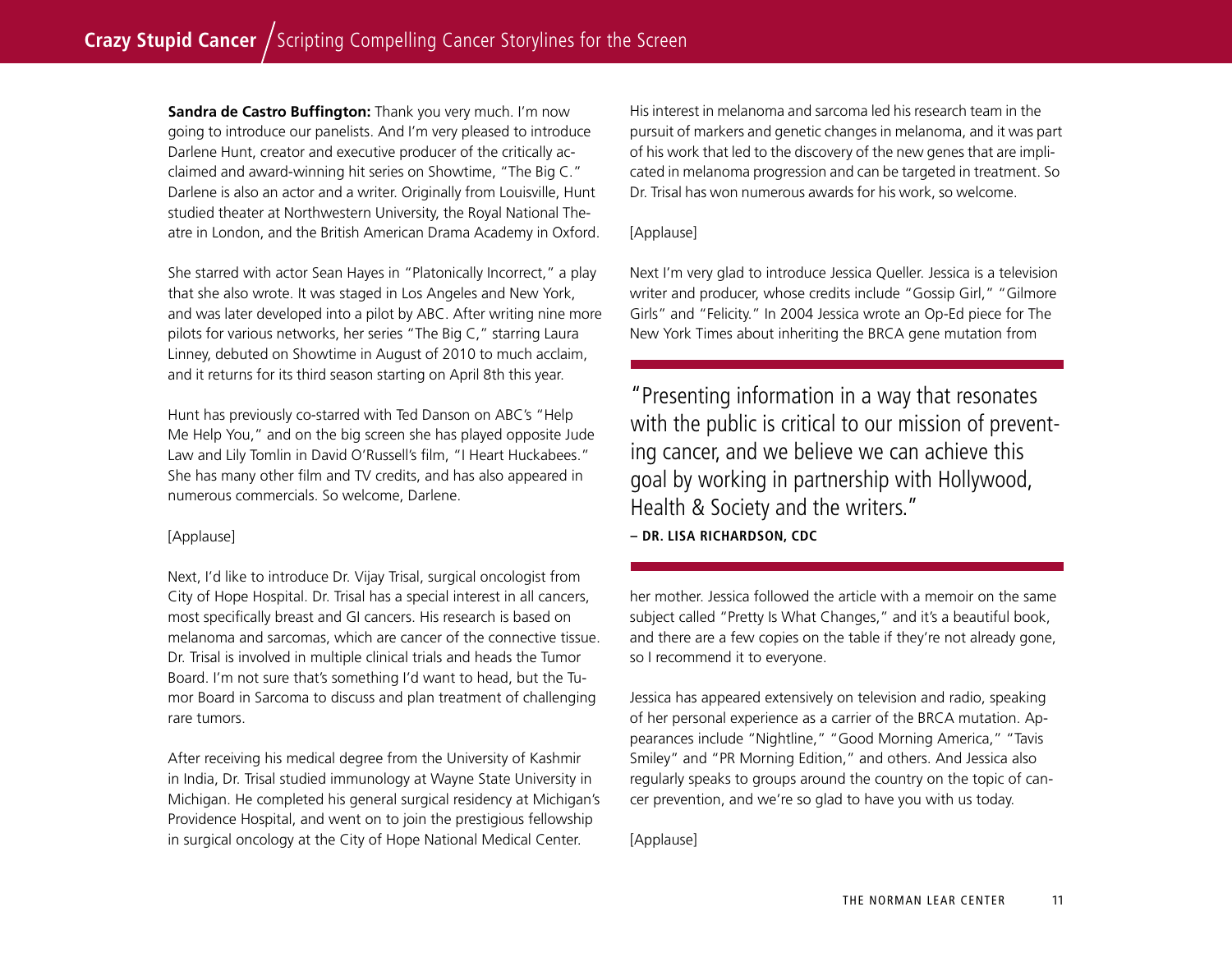**Sandra de Castro Buffington:** Thank you very much. I'm now going to introduce our panelists. And I'm very pleased to introduce Darlene Hunt, creator and executive producer of the critically acclaimed and award-winning hit series on Showtime, "The Big C." Darlene is also an actor and a writer. Originally from Louisville, Hunt studied theater at Northwestern University, the Royal National Theatre in London, and the British American Drama Academy in Oxford.

She starred with actor Sean Hayes in "Platonically Incorrect," a play that she also wrote. It was staged in Los Angeles and New York, and was later developed into a pilot by ABC. After writing nine more pilots for various networks, her series "The Big C," starring Laura Linney, debuted on Showtime in August of 2010 to much acclaim, and it returns for its third season starting on April 8th this year.

Hunt has previously co-starred with Ted Danson on ABC's "Help Me Help You," and on the big screen she has played opposite Jude Law and Lily Tomlin in David O'Russell's film, "I Heart Huckabees." She has many other film and TV credits, and has also appeared in numerous commercials. So welcome, Darlene.

# [Applause]

Next, I'd like to introduce Dr. Vijay Trisal, surgical oncologist from City of Hope Hospital. Dr. Trisal has a special interest in all cancers, most specifically breast and GI cancers. His research is based on melanoma and sarcomas, which are cancer of the connective tissue. Dr. Trisal is involved in multiple clinical trials and heads the Tumor Board. I'm not sure that's something I'd want to head, but the Tumor Board in Sarcoma to discuss and plan treatment of challenging rare tumors.

After receiving his medical degree from the University of Kashmir in India, Dr. Trisal studied immunology at Wayne State University in Michigan. He completed his general surgical residency at Michigan's Providence Hospital, and went on to join the prestigious fellowship in surgical oncology at the City of Hope National Medical Center.

His interest in melanoma and sarcoma led his research team in the pursuit of markers and genetic changes in melanoma, and it was part of his work that led to the discovery of the new genes that are implicated in melanoma progression and can be targeted in treatment. So Dr. Trisal has won numerous awards for his work, so welcome.

# [Applause]

Next I'm very glad to introduce Jessica Queller. Jessica is a television writer and producer, whose credits include "Gossip Girl," "Gilmore Girls" and "Felicity." In 2004 Jessica wrote an Op-Ed piece for The New York Times about inheriting the BRCA gene mutation from

"Presenting information in a way that resonates with the public is critical to our mission of preventing cancer, and we believe we can achieve this goal by working in partnership with Hollywood, Health & Society and the writers." **– DR. LISA RICHARDSON, CDC**

her mother. Jessica followed the article with a memoir on the same subject called "Pretty Is What Changes," and it's a beautiful book, and there are a few copies on the table if they're not already gone, so I recommend it to everyone.

Jessica has appeared extensively on television and radio, speaking of her personal experience as a carrier of the BRCA mutation. Appearances include "Nightline," "Good Morning America," "Tavis Smiley" and "PR Morning Edition," and others. And Jessica also regularly speaks to groups around the country on the topic of cancer prevention, and we're so glad to have you with us today.

[Applause]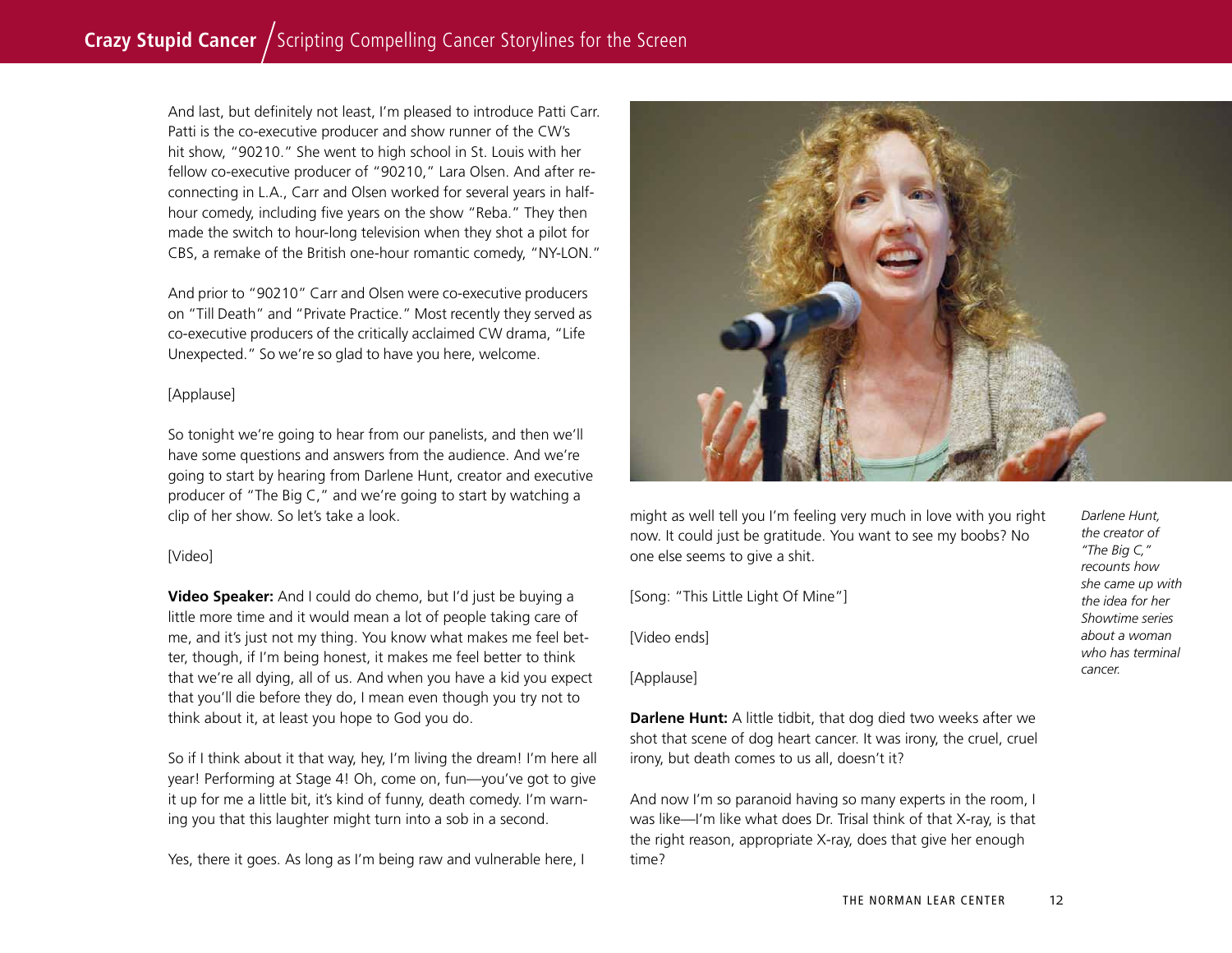# **Crazy Stupid Cancer** / Scripting Compelling Cancer Storylines for the Screen

And last, but definitely not least, I'm pleased to introduce Patti Carr. Patti is the co-executive producer and show runner of the CW's hit show, "90210." She went to high school in St. Louis with her fellow co-executive producer of "90210," Lara Olsen. And after reconnecting in L.A., Carr and Olsen worked for several years in halfhour comedy, including five years on the show "Reba." They then made the switch to hour-long television when they shot a pilot for CBS, a remake of the British one-hour romantic comedy, "NY-LON."

And prior to "90210" Carr and Olsen were co-executive producers on "Till Death" and "Private Practice." Most recently they served as co-executive producers of the critically acclaimed CW drama, "Life Unexpected." So we're so glad to have you here, welcome.

# [Applause]

So tonight we're going to hear from our panelists, and then we'll have some questions and answers from the audience. And we're going to start by hearing from Darlene Hunt, creator and executive producer of "The Big C," and we're going to start by watching a clip of her show. So let's take a look.

# [Video]

**Video Speaker:** And I could do chemo, but I'd just be buying a little more time and it would mean a lot of people taking care of me, and it's just not my thing. You know what makes me feel better, though, if I'm being honest, it makes me feel better to think that we're all dying, all of us. And when you have a kid you expect that you'll die before they do, I mean even though you try not to think about it, at least you hope to God you do.

So if I think about it that way, hey, I'm living the dream! I'm here all year! Performing at Stage 4! Oh, come on, fun—you've got to give it up for me a little bit, it's kind of funny, death comedy. I'm warning you that this laughter might turn into a sob in a second.

Yes, there it goes. As long as I'm being raw and vulnerable here, I



might as well tell you I'm feeling very much in love with you right now. It could just be gratitude. You want to see my boobs? No one else seems to give a shit.

[Song: "This Little Light Of Mine"]

[Video ends]

[Applause]

**Darlene Hunt:** A little tidbit, that dog died two weeks after we shot that scene of dog heart cancer. It was irony, the cruel, cruel irony, but death comes to us all, doesn't it?

And now I'm so paranoid having so many experts in the room, I was like—I'm like what does Dr. Trisal think of that X-ray, is that the right reason, appropriate X-ray, does that give her enough time?

*Darlene Hunt, the creator of "The Big C," recounts how she came up with the idea for her Showtime series about a woman who has terminal cancer.*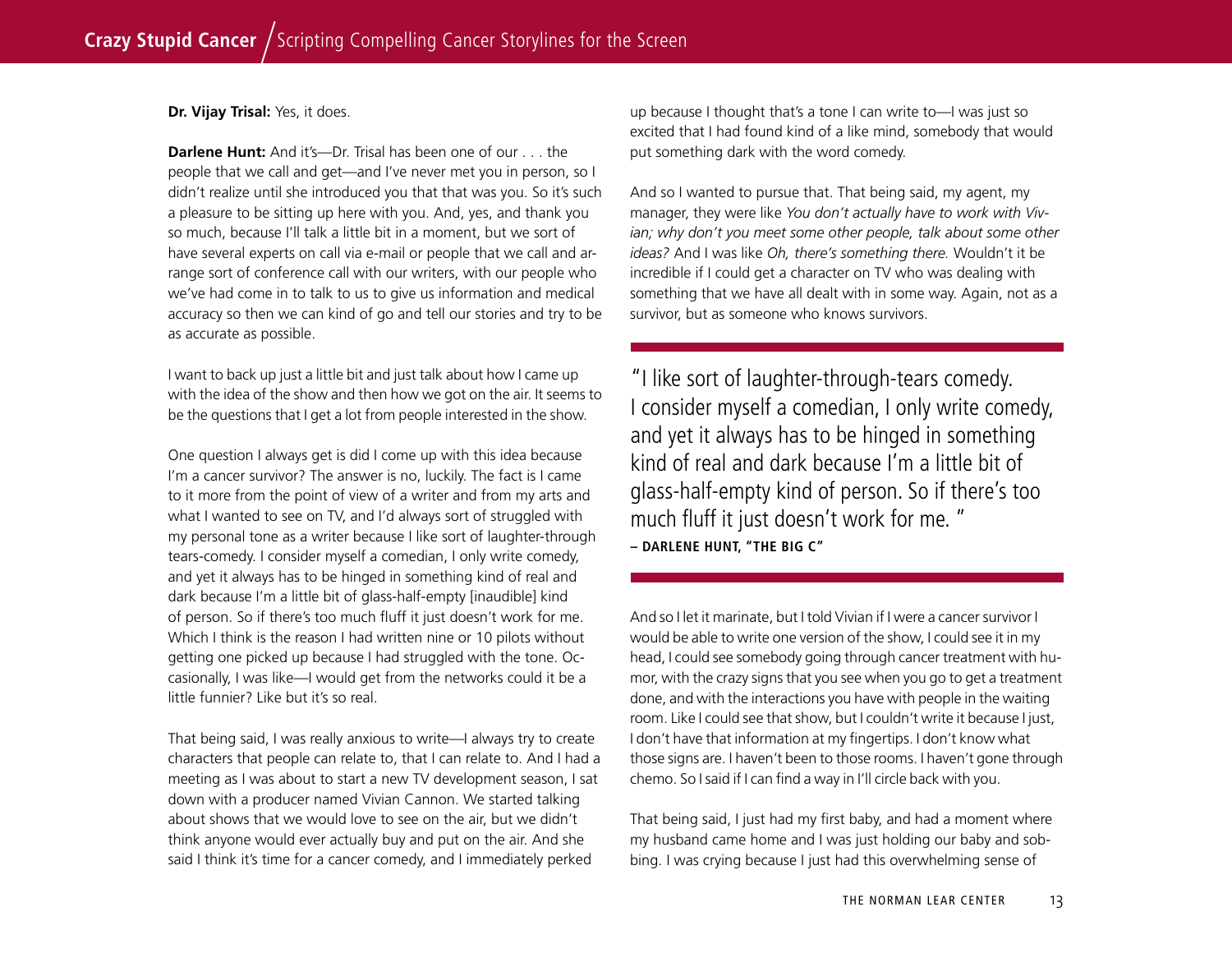**Dr. Vijay Trisal:** Yes, it does.

**Darlene Hunt:** And it's—Dr. Trisal has been one of our . . . the people that we call and get—and I've never met you in person, so I didn't realize until she introduced you that that was you. So it's such a pleasure to be sitting up here with you. And, yes, and thank you so much, because I'll talk a little bit in a moment, but we sort of have several experts on call via e-mail or people that we call and arrange sort of conference call with our writers, with our people who we've had come in to talk to us to give us information and medical accuracy so then we can kind of go and tell our stories and try to be as accurate as possible.

I want to back up just a little bit and just talk about how I came up with the idea of the show and then how we got on the air. It seems to be the questions that I get a lot from people interested in the show.

One question I always get is did I come up with this idea because I'm a cancer survivor? The answer is no, luckily. The fact is I came to it more from the point of view of a writer and from my arts and what I wanted to see on TV, and I'd always sort of struggled with my personal tone as a writer because I like sort of laughter-through tears-comedy. I consider myself a comedian, I only write comedy, and yet it always has to be hinged in something kind of real and dark because I'm a little bit of glass-half-empty [inaudible] kind of person. So if there's too much fluff it just doesn't work for me. Which I think is the reason I had written nine or 10 pilots without getting one picked up because I had struggled with the tone. Occasionally, I was like—I would get from the networks could it be a little funnier? Like but it's so real.

That being said, I was really anxious to write—I always try to create characters that people can relate to, that I can relate to. And I had a meeting as I was about to start a new TV development season, I sat down with a producer named Vivian Cannon. We started talking about shows that we would love to see on the air, but we didn't think anyone would ever actually buy and put on the air. And she said I think it's time for a cancer comedy, and I immediately perked

up because I thought that's a tone I can write to—I was just so excited that I had found kind of a like mind, somebody that would put something dark with the word comedy.

And so I wanted to pursue that. That being said, my agent, my manager, they were like *You don't actually have to work with Vivian; why don't you meet some other people, talk about some other ideas?* And I was like *Oh, there's something there.* Wouldn't it be incredible if I could get a character on TV who was dealing with something that we have all dealt with in some way. Again, not as a survivor, but as someone who knows survivors.

"I like sort of laughter-through-tears comedy. I consider myself a comedian, I only write comedy, and yet it always has to be hinged in something kind of real and dark because I'm a little bit of glass-half-empty kind of person. So if there's too much fluff it just doesn't work for me. " **– DARLENE HUNT, "THE BIG C"**

And so I let it marinate, but I told Vivian if I were a cancer survivor I would be able to write one version of the show, I could see it in my head, I could see somebody going through cancer treatment with humor, with the crazy signs that you see when you go to get a treatment done, and with the interactions you have with people in the waiting room. Like I could see that show, but I couldn't write it because I just, I don't have that information at my fingertips. I don't know what those signs are. I haven't been to those rooms. I haven't gone through chemo. So I said if I can find a way in I'll circle back with you.

That being said, I just had my first baby, and had a moment where my husband came home and I was just holding our baby and sobbing. I was crying because I just had this overwhelming sense of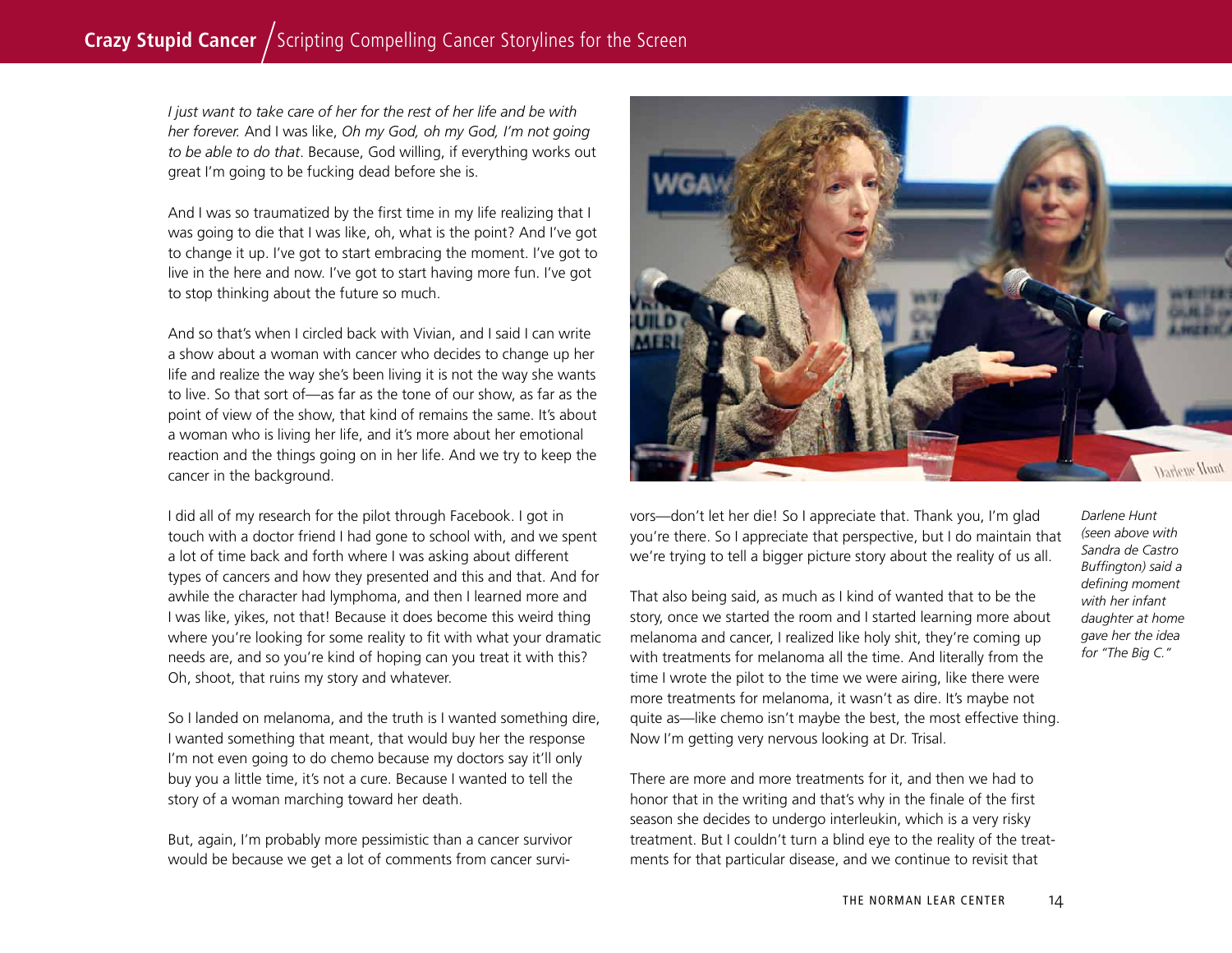*I just want to take care of her for the rest of her life and be with her forever.* And I was like, *Oh my God, oh my God, I'm not going to be able to do that*. Because, God willing, if everything works out great I'm going to be fucking dead before she is.

And I was so traumatized by the first time in my life realizing that I was going to die that I was like, oh, what is the point? And I've got to change it up. I've got to start embracing the moment. I've got to live in the here and now. I've got to start having more fun. I've got to stop thinking about the future so much.

And so that's when I circled back with Vivian, and I said I can write a show about a woman with cancer who decides to change up her life and realize the way she's been living it is not the way she wants to live. So that sort of—as far as the tone of our show, as far as the point of view of the show, that kind of remains the same. It's about a woman who is living her life, and it's more about her emotional reaction and the things going on in her life. And we try to keep the cancer in the background.

I did all of my research for the pilot through Facebook. I got in touch with a doctor friend I had gone to school with, and we spent a lot of time back and forth where I was asking about different types of cancers and how they presented and this and that. And for awhile the character had lymphoma, and then I learned more and I was like, yikes, not that! Because it does become this weird thing where you're looking for some reality to fit with what your dramatic needs are, and so you're kind of hoping can you treat it with this? Oh, shoot, that ruins my story and whatever.

So I landed on melanoma, and the truth is I wanted something dire, I wanted something that meant, that would buy her the response I'm not even going to do chemo because my doctors say it'll only buy you a little time, it's not a cure. Because I wanted to tell the story of a woman marching toward her death.

But, again, I'm probably more pessimistic than a cancer survivor would be because we get a lot of comments from cancer survi-



vors—don't let her die! So I appreciate that. Thank you, I'm glad you're there. So I appreciate that perspective, but I do maintain that we're trying to tell a bigger picture story about the reality of us all.

That also being said, as much as I kind of wanted that to be the story, once we started the room and I started learning more about melanoma and cancer, I realized like holy shit, they're coming up with treatments for melanoma all the time. And literally from the time I wrote the pilot to the time we were airing, like there were more treatments for melanoma, it wasn't as dire. It's maybe not quite as—like chemo isn't maybe the best, the most effective thing. Now I'm getting very nervous looking at Dr. Trisal.

There are more and more treatments for it, and then we had to honor that in the writing and that's why in the finale of the first season she decides to undergo interleukin, which is a very risky treatment. But I couldn't turn a blind eye to the reality of the treatments for that particular disease, and we continue to revisit that

*Darlene Hunt (seen above with Sandra de Castro Buffington) said a defining moment with her infant daughter at home gave her the idea for "The Big C."*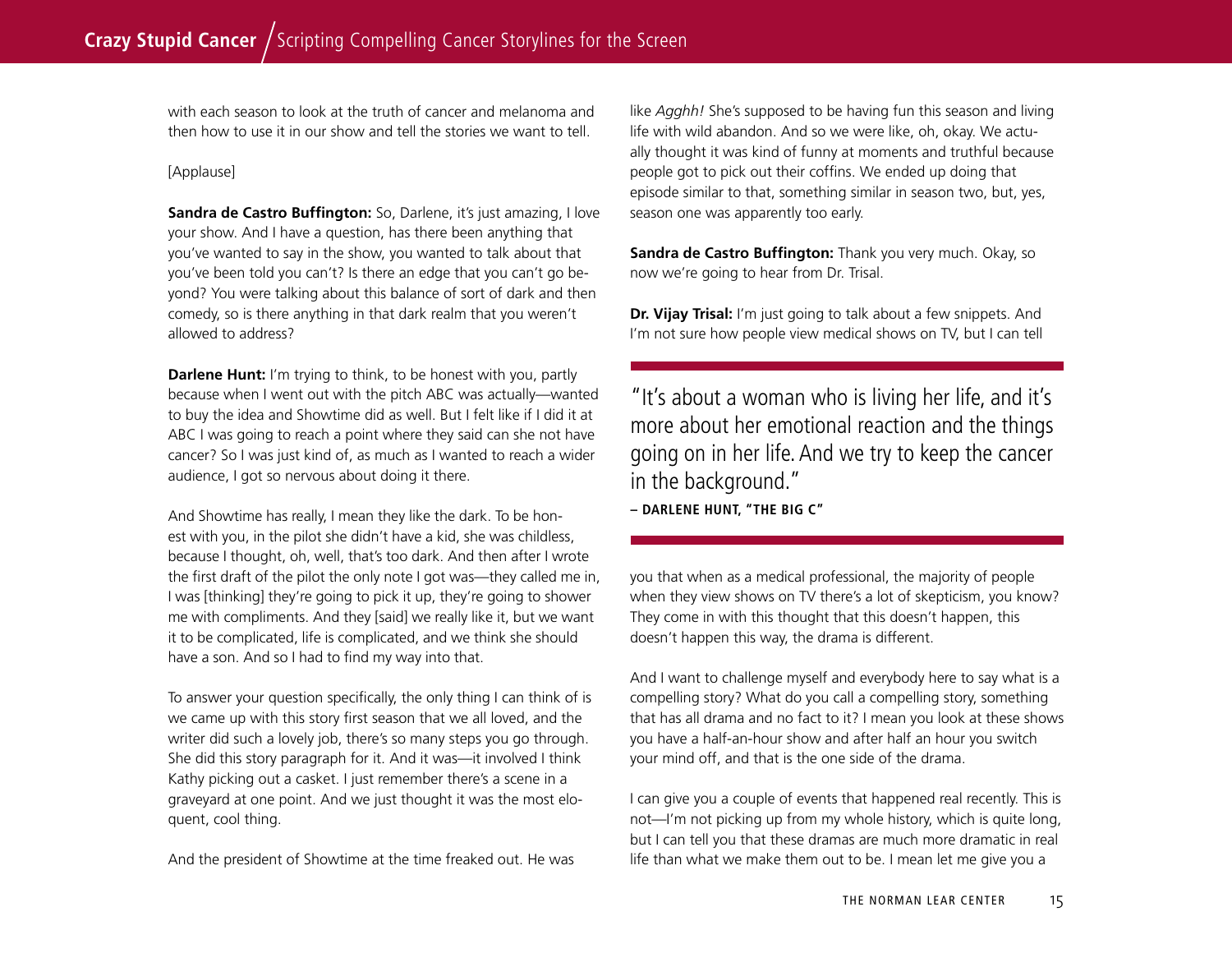with each season to look at the truth of cancer and melanoma and then how to use it in our show and tell the stories we want to tell.

# [Applause]

**Sandra de Castro Buffington:** So, Darlene, it's just amazing, I love your show. And I have a question, has there been anything that you've wanted to say in the show, you wanted to talk about that you've been told you can't? Is there an edge that you can't go beyond? You were talking about this balance of sort of dark and then comedy, so is there anything in that dark realm that you weren't allowed to address?

**Darlene Hunt:** I'm trying to think, to be honest with you, partly because when I went out with the pitch ABC was actually—wanted to buy the idea and Showtime did as well. But I felt like if I did it at ABC I was going to reach a point where they said can she not have cancer? So I was just kind of, as much as I wanted to reach a wider audience, I got so nervous about doing it there.

And Showtime has really, I mean they like the dark. To be honest with you, in the pilot she didn't have a kid, she was childless, because I thought, oh, well, that's too dark. And then after I wrote the first draft of the pilot the only note I got was—they called me in, I was [thinking] they're going to pick it up, they're going to shower me with compliments. And they [said] we really like it, but we want it to be complicated, life is complicated, and we think she should have a son. And so I had to find my way into that.

To answer your question specifically, the only thing I can think of is we came up with this story first season that we all loved, and the writer did such a lovely job, there's so many steps you go through. She did this story paragraph for it. And it was—it involved I think Kathy picking out a casket. I just remember there's a scene in a graveyard at one point. And we just thought it was the most eloquent, cool thing.

And the president of Showtime at the time freaked out. He was

like *Agghh!* She's supposed to be having fun this season and living life with wild abandon. And so we were like, oh, okay. We actually thought it was kind of funny at moments and truthful because people got to pick out their coffins. We ended up doing that episode similar to that, something similar in season two, but, yes, season one was apparently too early.

**Sandra de Castro Buffington:** Thank you very much. Okay, so now we're going to hear from Dr. Trisal.

**Dr. Vijay Trisal:** I'm just going to talk about a few snippets. And I'm not sure how people view medical shows on TV, but I can tell

"It's about a woman who is living her life, and it's more about her emotional reaction and the things going on in her life. And we try to keep the cancer in the background."

**– DARLENE HUNT, "THE BIG C"**

you that when as a medical professional, the majority of people when they view shows on TV there's a lot of skepticism, you know? They come in with this thought that this doesn't happen, this doesn't happen this way, the drama is different.

And I want to challenge myself and everybody here to say what is a compelling story? What do you call a compelling story, something that has all drama and no fact to it? I mean you look at these shows you have a half-an-hour show and after half an hour you switch your mind off, and that is the one side of the drama.

I can give you a couple of events that happened real recently. This is not—I'm not picking up from my whole history, which is quite long, but I can tell you that these dramas are much more dramatic in real life than what we make them out to be. I mean let me give you a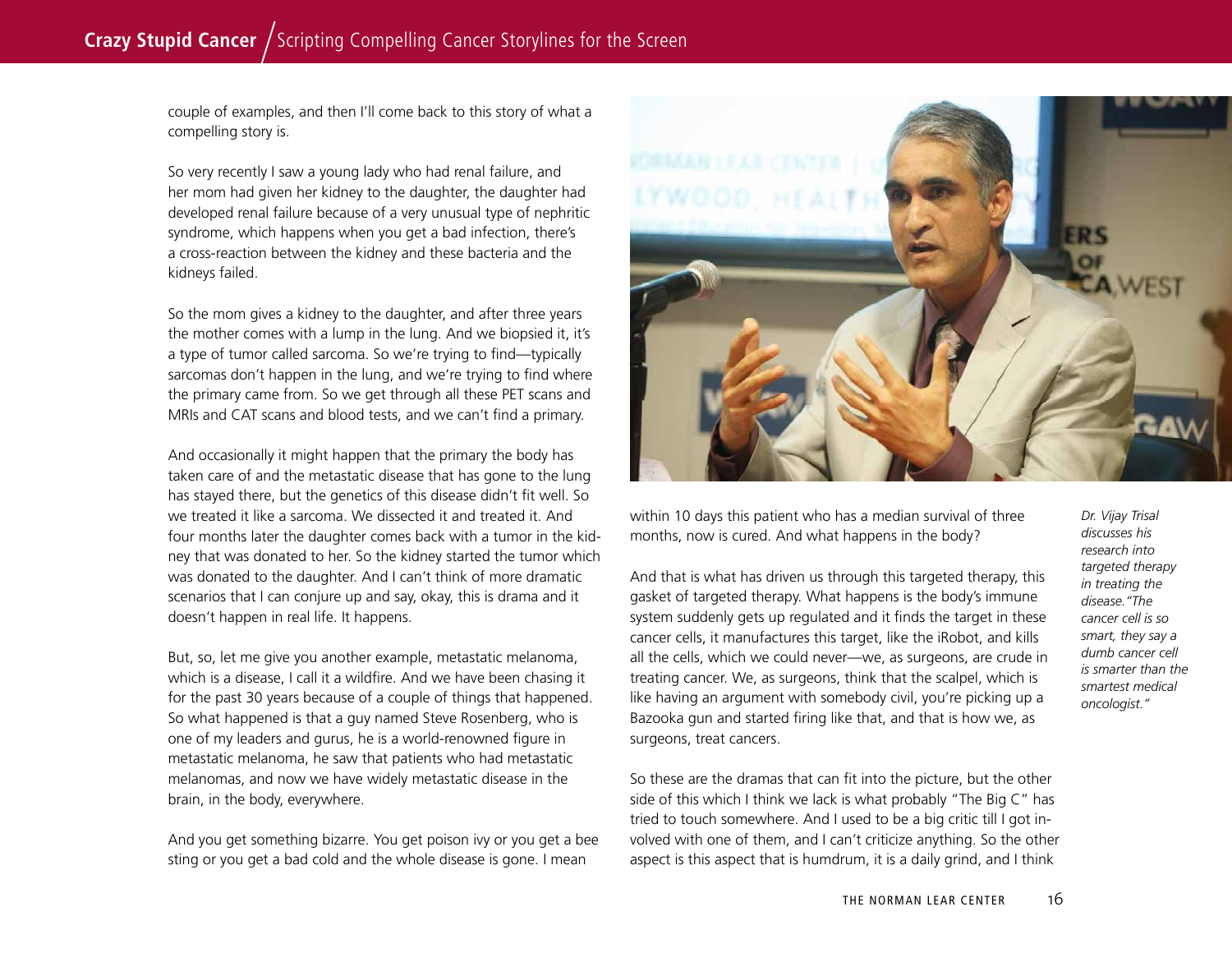couple of examples, and then I'll come back to this story of what a compelling story is.

So very recently I saw a young lady who had renal failure, and her mom had given her kidney to the daughter, the daughter had developed renal failure because of a very unusual type of nephritic syndrome, which happens when you get a bad infection, there's a cross-reaction between the kidney and these bacteria and the kidneys failed.

So the mom gives a kidney to the daughter, and after three years the mother comes with a lump in the lung. And we biopsied it, it's a type of tumor called sarcoma. So we're trying to find—typically sarcomas don't happen in the lung, and we're trying to find where the primary came from. So we get through all these PET scans and MRIs and CAT scans and blood tests, and we can't find a primary.

And occasionally it might happen that the primary the body has taken care of and the metastatic disease that has gone to the lung has stayed there, but the genetics of this disease didn't fit well. So we treated it like a sarcoma. We dissected it and treated it. And four months later the daughter comes back with a tumor in the kidney that was donated to her. So the kidney started the tumor which was donated to the daughter. And I can't think of more dramatic scenarios that I can conjure up and say, okay, this is drama and it doesn't happen in real life. It happens.

But, so, let me give you another example, metastatic melanoma, which is a disease, I call it a wildfire. And we have been chasing it for the past 30 years because of a couple of things that happened. So what happened is that a guy named Steve Rosenberg, who is one of my leaders and gurus, he is a world-renowned figure in metastatic melanoma, he saw that patients who had metastatic melanomas, and now we have widely metastatic disease in the brain, in the body, everywhere.

And you get something bizarre. You get poison ivy or you get a bee sting or you get a bad cold and the whole disease is gone. I mean



within 10 days this patient who has a median survival of three months, now is cured. And what happens in the body?

And that is what has driven us through this targeted therapy, this gasket of targeted therapy. What happens is the body's immune system suddenly gets up regulated and it finds the target in these cancer cells, it manufactures this target, like the iRobot, and kills all the cells, which we could never—we, as surgeons, are crude in treating cancer. We, as surgeons, think that the scalpel, which is like having an argument with somebody civil, you're picking up a Bazooka gun and started firing like that, and that is how we, as surgeons, treat cancers.

So these are the dramas that can fit into the picture, but the other side of this which I think we lack is what probably "The Big C" has tried to touch somewhere. And I used to be a big critic till I got involved with one of them, and I can't criticize anything. So the other aspect is this aspect that is humdrum, it is a daily grind, and I think

*Dr. Vijay Trisal discusses his research into targeted therapy in treating the disease."The cancer cell is so smart, they say a dumb cancer cell is smarter than the smartest medical oncologist."*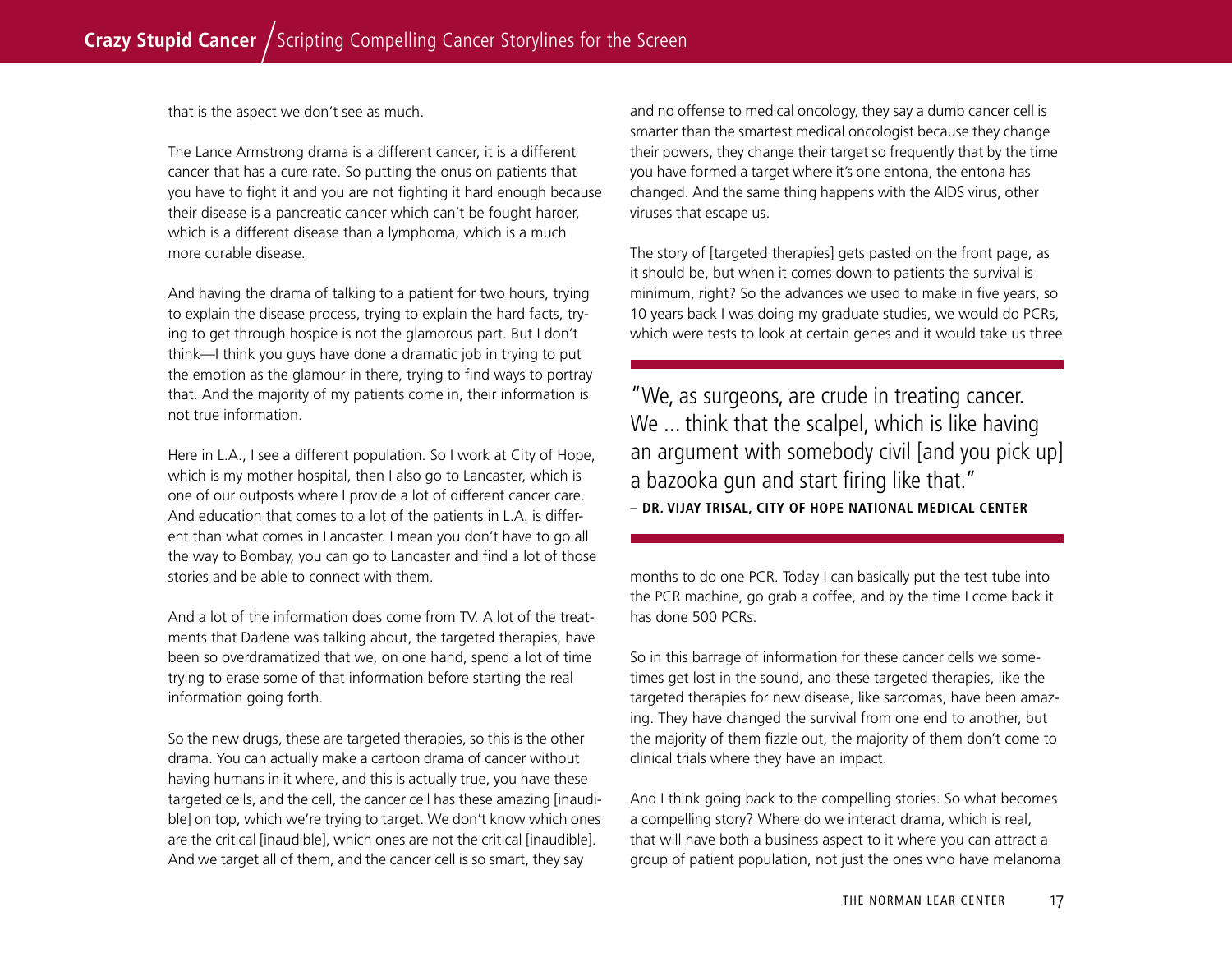that is the aspect we don't see as much.

The Lance Armstrong drama is a different cancer, it is a different cancer that has a cure rate. So putting the onus on patients that you have to fight it and you are not fighting it hard enough because their disease is a pancreatic cancer which can't be fought harder, which is a different disease than a lymphoma, which is a much more curable disease.

And having the drama of talking to a patient for two hours, trying to explain the disease process, trying to explain the hard facts, trying to get through hospice is not the glamorous part. But I don't think—I think you guys have done a dramatic job in trying to put the emotion as the glamour in there, trying to find ways to portray that. And the majority of my patients come in, their information is not true information.

Here in L.A., I see a different population. So I work at City of Hope, which is my mother hospital, then I also go to Lancaster, which is one of our outposts where I provide a lot of different cancer care. And education that comes to a lot of the patients in L.A. is different than what comes in Lancaster. I mean you don't have to go all the way to Bombay, you can go to Lancaster and find a lot of those stories and be able to connect with them.

And a lot of the information does come from TV. A lot of the treatments that Darlene was talking about, the targeted therapies, have been so overdramatized that we, on one hand, spend a lot of time trying to erase some of that information before starting the real information going forth.

So the new drugs, these are targeted therapies, so this is the other drama. You can actually make a cartoon drama of cancer without having humans in it where, and this is actually true, you have these targeted cells, and the cell, the cancer cell has these amazing [inaudible] on top, which we're trying to target. We don't know which ones are the critical [inaudible], which ones are not the critical [inaudible]. And we target all of them, and the cancer cell is so smart, they say

and no offense to medical oncology, they say a dumb cancer cell is smarter than the smartest medical oncologist because they change their powers, they change their target so frequently that by the time you have formed a target where it's one entona, the entona has changed. And the same thing happens with the AIDS virus, other viruses that escape us.

The story of [targeted therapies] gets pasted on the front page, as it should be, but when it comes down to patients the survival is minimum, right? So the advances we used to make in five years, so 10 years back I was doing my graduate studies, we would do PCRs, which were tests to look at certain genes and it would take us three

"We, as surgeons, are crude in treating cancer. We ... think that the scalpel, which is like having an argument with somebody civil [and you pick up] a bazooka gun and start firing like that." **– DR. VIJAY TRISAL, CITY OF HOPE NATIONAL MEDICAL CENTER**

months to do one PCR. Today I can basically put the test tube into the PCR machine, go grab a coffee, and by the time I come back it has done 500 PCRs.

So in this barrage of information for these cancer cells we sometimes get lost in the sound, and these targeted therapies, like the targeted therapies for new disease, like sarcomas, have been amazing. They have changed the survival from one end to another, but the majority of them fizzle out, the majority of them don't come to clinical trials where they have an impact.

And I think going back to the compelling stories. So what becomes a compelling story? Where do we interact drama, which is real, that will have both a business aspect to it where you can attract a group of patient population, not just the ones who have melanoma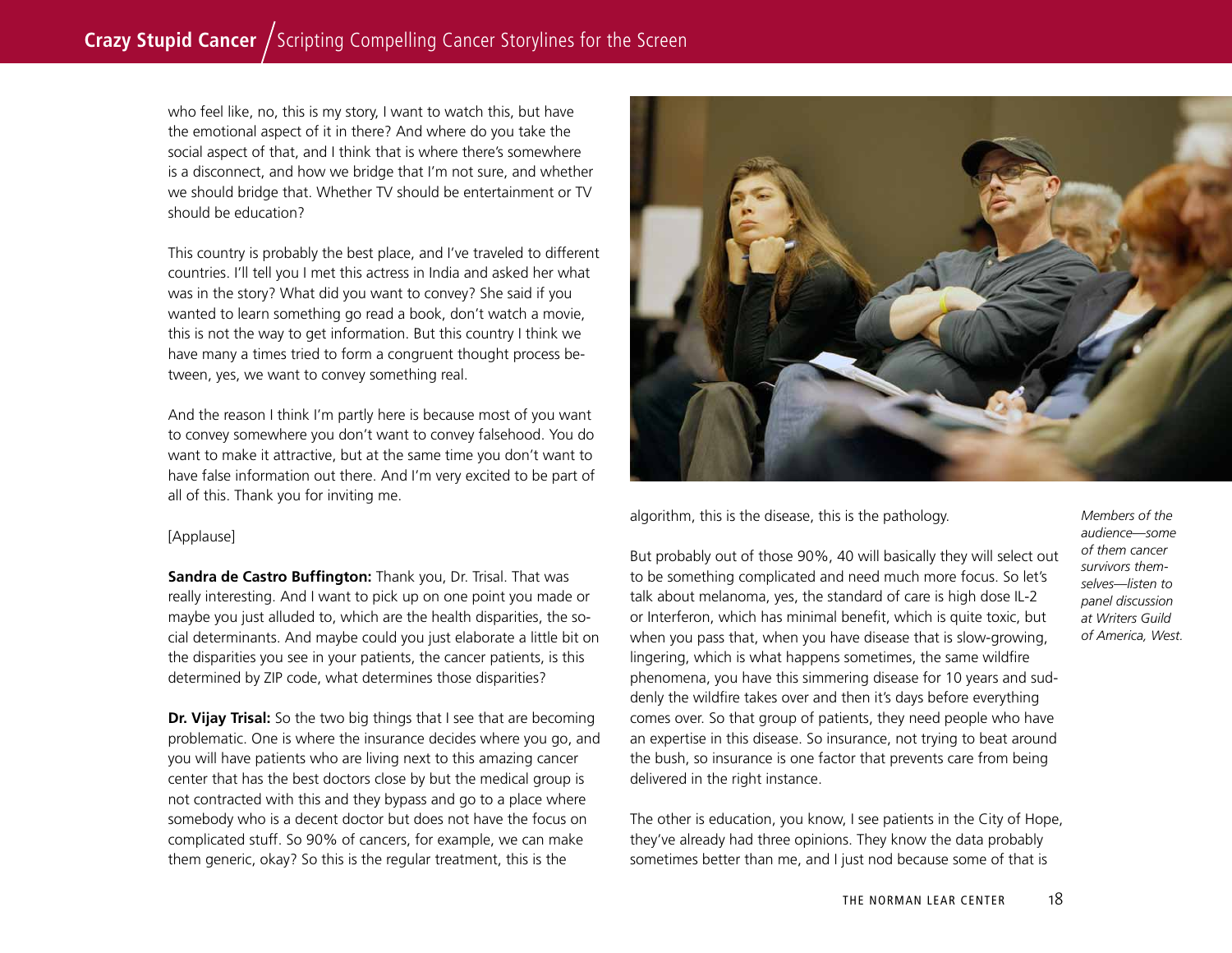who feel like, no, this is my story, I want to watch this, but have the emotional aspect of it in there? And where do you take the social aspect of that, and I think that is where there's somewhere is a disconnect, and how we bridge that I'm not sure, and whether we should bridge that. Whether TV should be entertainment or TV should be education?

This country is probably the best place, and I've traveled to different countries. I'll tell you I met this actress in India and asked her what was in the story? What did you want to convey? She said if you wanted to learn something go read a book, don't watch a movie, this is not the way to get information. But this country I think we have many a times tried to form a congruent thought process between, yes, we want to convey something real.

And the reason I think I'm partly here is because most of you want to convey somewhere you don't want to convey falsehood. You do want to make it attractive, but at the same time you don't want to have false information out there. And I'm very excited to be part of all of this. Thank you for inviting me.

# [Applause]

**Sandra de Castro Buffington:** Thank you, Dr. Trisal. That was really interesting. And I want to pick up on one point you made or maybe you just alluded to, which are the health disparities, the social determinants. And maybe could you just elaborate a little bit on the disparities you see in your patients, the cancer patients, is this determined by ZIP code, what determines those disparities?

**Dr. Vijay Trisal:** So the two big things that I see that are becoming problematic. One is where the insurance decides where you go, and you will have patients who are living next to this amazing cancer center that has the best doctors close by but the medical group is not contracted with this and they bypass and go to a place where somebody who is a decent doctor but does not have the focus on complicated stuff. So 90% of cancers, for example, we can make them generic, okay? So this is the regular treatment, this is the



algorithm, this is the disease, this is the pathology.

But probably out of those 90%, 40 will basically they will select out to be something complicated and need much more focus. So let's talk about melanoma, yes, the standard of care is high dose IL-2 or Interferon, which has minimal benefit, which is quite toxic, but when you pass that, when you have disease that is slow-growing, lingering, which is what happens sometimes, the same wildfire phenomena, you have this simmering disease for 10 years and suddenly the wildfire takes over and then it's days before everything comes over. So that group of patients, they need people who have an expertise in this disease. So insurance, not trying to beat around the bush, so insurance is one factor that prevents care from being delivered in the right instance.

The other is education, you know, I see patients in the City of Hope, they've already had three opinions. They know the data probably sometimes better than me, and I just nod because some of that is

*Members of the audience—some of them cancer survivors themselves—listen to panel discussion at Writers Guild of America, West.*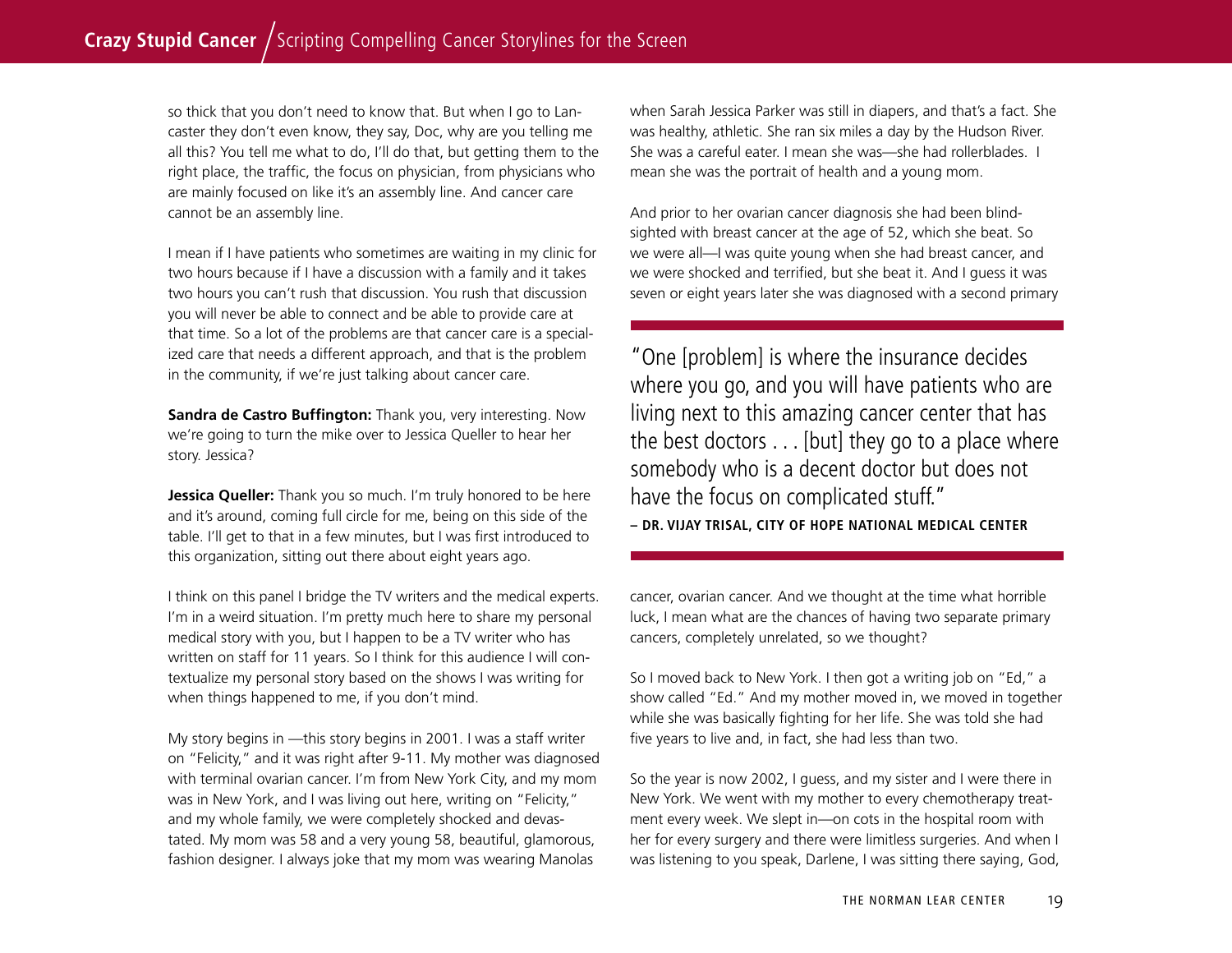so thick that you don't need to know that. But when I go to Lancaster they don't even know, they say, Doc, why are you telling me all this? You tell me what to do, I'll do that, but getting them to the right place, the traffic, the focus on physician, from physicians who are mainly focused on like it's an assembly line. And cancer care cannot be an assembly line.

I mean if I have patients who sometimes are waiting in my clinic for two hours because if I have a discussion with a family and it takes two hours you can't rush that discussion. You rush that discussion you will never be able to connect and be able to provide care at that time. So a lot of the problems are that cancer care is a specialized care that needs a different approach, and that is the problem in the community, if we're just talking about cancer care.

**Sandra de Castro Buffington:** Thank you, very interesting. Now we're going to turn the mike over to Jessica Queller to hear her story. Jessica?

**Jessica Queller:** Thank you so much. I'm truly honored to be here and it's around, coming full circle for me, being on this side of the table. I'll get to that in a few minutes, but I was first introduced to this organization, sitting out there about eight years ago.

I think on this panel I bridge the TV writers and the medical experts. I'm in a weird situation. I'm pretty much here to share my personal medical story with you, but I happen to be a TV writer who has written on staff for 11 years. So I think for this audience I will contextualize my personal story based on the shows I was writing for when things happened to me, if you don't mind.

My story begins in —this story begins in 2001. I was a staff writer on "Felicity," and it was right after 9-11. My mother was diagnosed with terminal ovarian cancer. I'm from New York City, and my mom was in New York, and I was living out here, writing on "Felicity," and my whole family, we were completely shocked and devastated. My mom was 58 and a very young 58, beautiful, glamorous, fashion designer. I always joke that my mom was wearing Manolas

when Sarah Jessica Parker was still in diapers, and that's a fact. She was healthy, athletic. She ran six miles a day by the Hudson River. She was a careful eater. I mean she was—she had rollerblades. I mean she was the portrait of health and a young mom.

And prior to her ovarian cancer diagnosis she had been blindsighted with breast cancer at the age of 52, which she beat. So we were all—I was quite young when she had breast cancer, and we were shocked and terrified, but she beat it. And I guess it was seven or eight years later she was diagnosed with a second primary

"One [problem] is where the insurance decides where you go, and you will have patients who are living next to this amazing cancer center that has the best doctors . . . [but] they go to a place where somebody who is a decent doctor but does not have the focus on complicated stuff." **– DR. VIJAY TRISAL, CITY OF HOPE NATIONAL MEDICAL CENTER**

cancer, ovarian cancer. And we thought at the time what horrible luck, I mean what are the chances of having two separate primary cancers, completely unrelated, so we thought?

So I moved back to New York. I then got a writing job on "Ed," a show called "Ed." And my mother moved in, we moved in together while she was basically fighting for her life. She was told she had five years to live and, in fact, she had less than two.

So the year is now 2002, I guess, and my sister and I were there in New York. We went with my mother to every chemotherapy treatment every week. We slept in—on cots in the hospital room with her for every surgery and there were limitless surgeries. And when I was listening to you speak, Darlene, I was sitting there saying, God,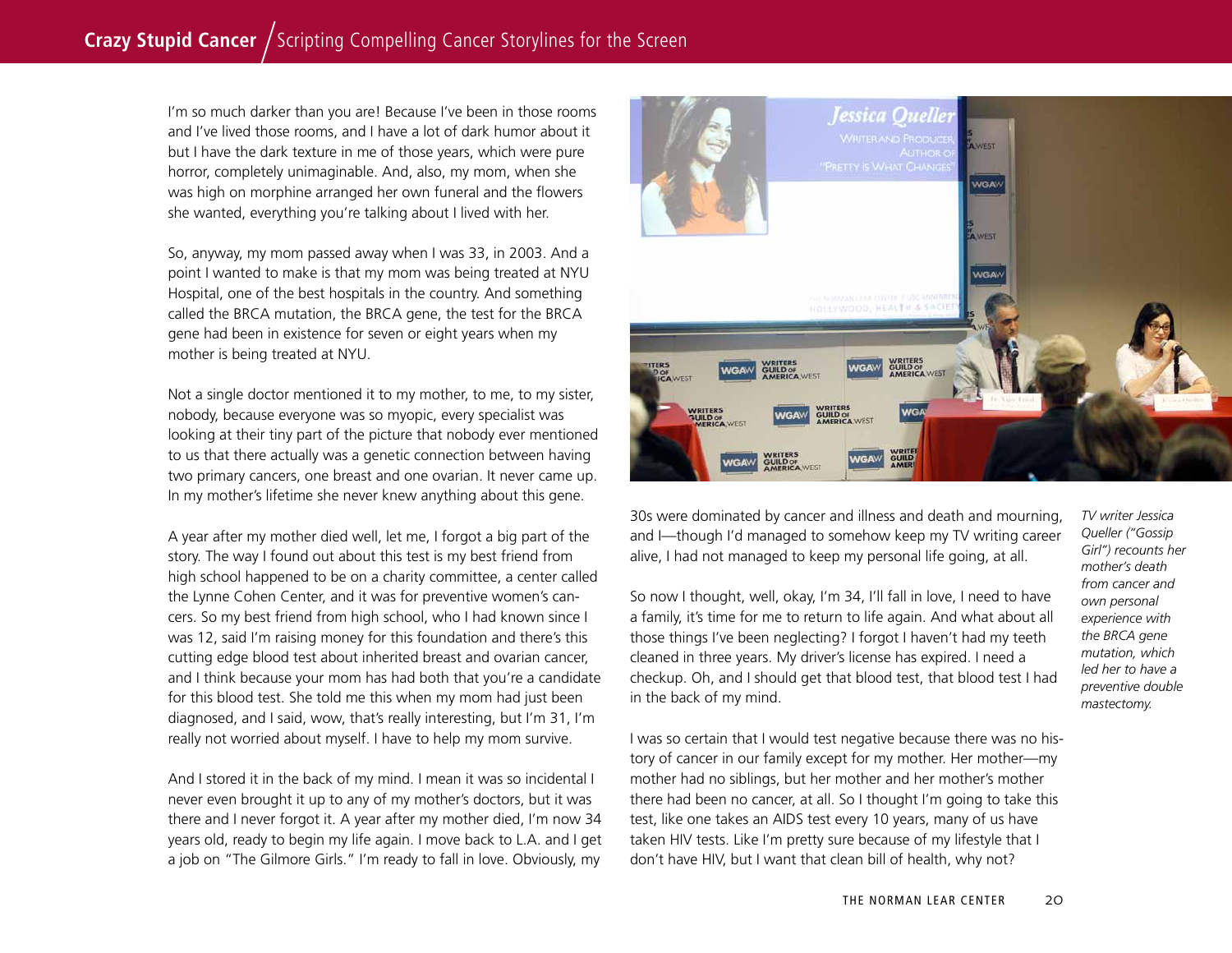I'm so much darker than you are! Because I've been in those rooms and I've lived those rooms, and I have a lot of dark humor about it but I have the dark texture in me of those years, which were pure horror, completely unimaginable. And, also, my mom, when she was high on morphine arranged her own funeral and the flowers she wanted, everything you're talking about I lived with her.

So, anyway, my mom passed away when I was 33, in 2003. And a point I wanted to make is that my mom was being treated at NYU Hospital, one of the best hospitals in the country. And something called the BRCA mutation, the BRCA gene, the test for the BRCA gene had been in existence for seven or eight years when my mother is being treated at NYU.

Not a single doctor mentioned it to my mother, to me, to my sister, nobody, because everyone was so myopic, every specialist was looking at their tiny part of the picture that nobody ever mentioned to us that there actually was a genetic connection between having two primary cancers, one breast and one ovarian. It never came up. In my mother's lifetime she never knew anything about this gene.

A year after my mother died well, let me, I forgot a big part of the story. The way I found out about this test is my best friend from high school happened to be on a charity committee, a center called the Lynne Cohen Center, and it was for preventive women's cancers. So my best friend from high school, who I had known since I was 12, said I'm raising money for this foundation and there's this cutting edge blood test about inherited breast and ovarian cancer, and I think because your mom has had both that you're a candidate for this blood test. She told me this when my mom had just been diagnosed, and I said, wow, that's really interesting, but I'm 31, I'm really not worried about myself. I have to help my mom survive.

And I stored it in the back of my mind. I mean it was so incidental I never even brought it up to any of my mother's doctors, but it was there and I never forgot it. A year after my mother died, I'm now 34 years old, ready to begin my life again. I move back to L.A. and I get a job on "The Gilmore Girls." I'm ready to fall in love. Obviously, my



30s were dominated by cancer and illness and death and mourning, and I—though I'd managed to somehow keep my TV writing career alive, I had not managed to keep my personal life going, at all.

So now I thought, well, okay, I'm 34, I'll fall in love, I need to have a family, it's time for me to return to life again. And what about all those things I've been neglecting? I forgot I haven't had my teeth cleaned in three years. My driver's license has expired. I need a checkup. Oh, and I should get that blood test, that blood test I had in the back of my mind.

I was so certain that I would test negative because there was no history of cancer in our family except for my mother. Her mother—my mother had no siblings, but her mother and her mother's mother there had been no cancer, at all. So I thought I'm going to take this test, like one takes an AIDS test every 10 years, many of us have taken HIV tests. Like I'm pretty sure because of my lifestyle that I don't have HIV, but I want that clean bill of health, why not?

*TV writer Jessica Queller ("Gossip Girl") recounts her mother's death from cancer and own personal experience with the BRCA gene mutation, which led her to have a preventive double mastectomy.*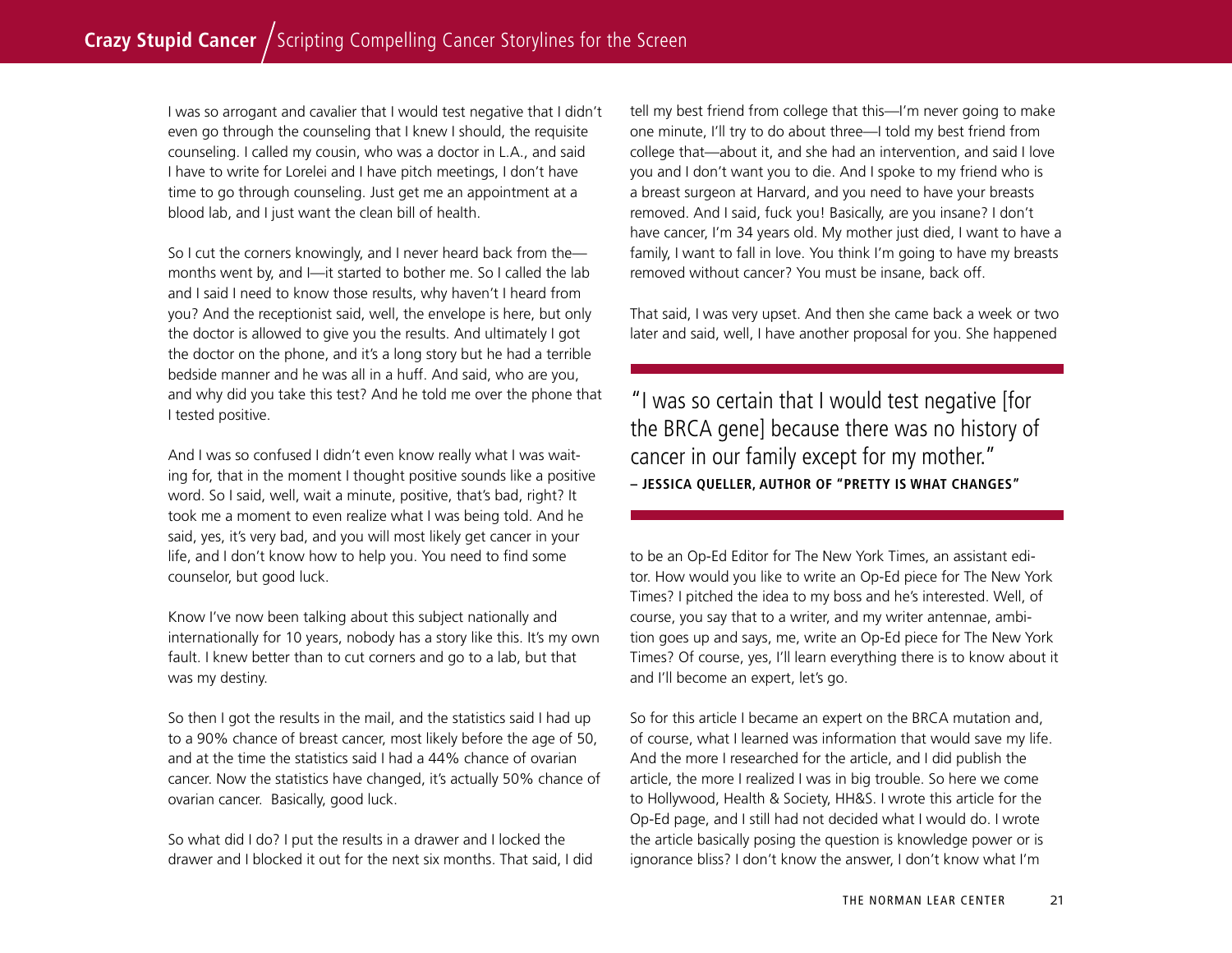I was so arrogant and cavalier that I would test negative that I didn't even go through the counseling that I knew I should, the requisite counseling. I called my cousin, who was a doctor in L.A., and said I have to write for Lorelei and I have pitch meetings, I don't have time to go through counseling. Just get me an appointment at a blood lab, and I just want the clean bill of health.

So I cut the corners knowingly, and I never heard back from the months went by, and I—it started to bother me. So I called the lab and I said I need to know those results, why haven't I heard from you? And the receptionist said, well, the envelope is here, but only the doctor is allowed to give you the results. And ultimately I got the doctor on the phone, and it's a long story but he had a terrible bedside manner and he was all in a huff. And said, who are you, and why did you take this test? And he told me over the phone that I tested positive.

And I was so confused I didn't even know really what I was waiting for, that in the moment I thought positive sounds like a positive word. So I said, well, wait a minute, positive, that's bad, right? It took me a moment to even realize what I was being told. And he said, yes, it's very bad, and you will most likely get cancer in your life, and I don't know how to help you. You need to find some counselor, but good luck.

Know I've now been talking about this subject nationally and internationally for 10 years, nobody has a story like this. It's my own fault. I knew better than to cut corners and go to a lab, but that was my destiny.

So then I got the results in the mail, and the statistics said I had up to a 90% chance of breast cancer, most likely before the age of 50, and at the time the statistics said I had a 44% chance of ovarian cancer. Now the statistics have changed, it's actually 50% chance of ovarian cancer. Basically, good luck.

So what did I do? I put the results in a drawer and I locked the drawer and I blocked it out for the next six months. That said, I did

tell my best friend from college that this—I'm never going to make one minute, I'll try to do about three—I told my best friend from college that—about it, and she had an intervention, and said I love you and I don't want you to die. And I spoke to my friend who is a breast surgeon at Harvard, and you need to have your breasts removed. And I said, fuck you! Basically, are you insane? I don't have cancer, I'm 34 years old. My mother just died, I want to have a family, I want to fall in love. You think I'm going to have my breasts removed without cancer? You must be insane, back off.

That said, I was very upset. And then she came back a week or two later and said, well, I have another proposal for you. She happened

"I was so certain that I would test negative [for the BRCA gene] because there was no history of cancer in our family except for my mother." **– JESSICA QUELLER, AUTHOR OF "PRETTY IS WHAT CHANGES"**

to be an Op-Ed Editor for The New York Times, an assistant editor. How would you like to write an Op-Ed piece for The New York Times? I pitched the idea to my boss and he's interested. Well, of course, you say that to a writer, and my writer antennae, ambition goes up and says, me, write an Op-Ed piece for The New York Times? Of course, yes, I'll learn everything there is to know about it and I'll become an expert, let's go.

So for this article I became an expert on the BRCA mutation and, of course, what I learned was information that would save my life. And the more I researched for the article, and I did publish the article, the more I realized I was in big trouble. So here we come to Hollywood, Health & Society, HH&S. I wrote this article for the Op-Ed page, and I still had not decided what I would do. I wrote the article basically posing the question is knowledge power or is ignorance bliss? I don't know the answer, I don't know what I'm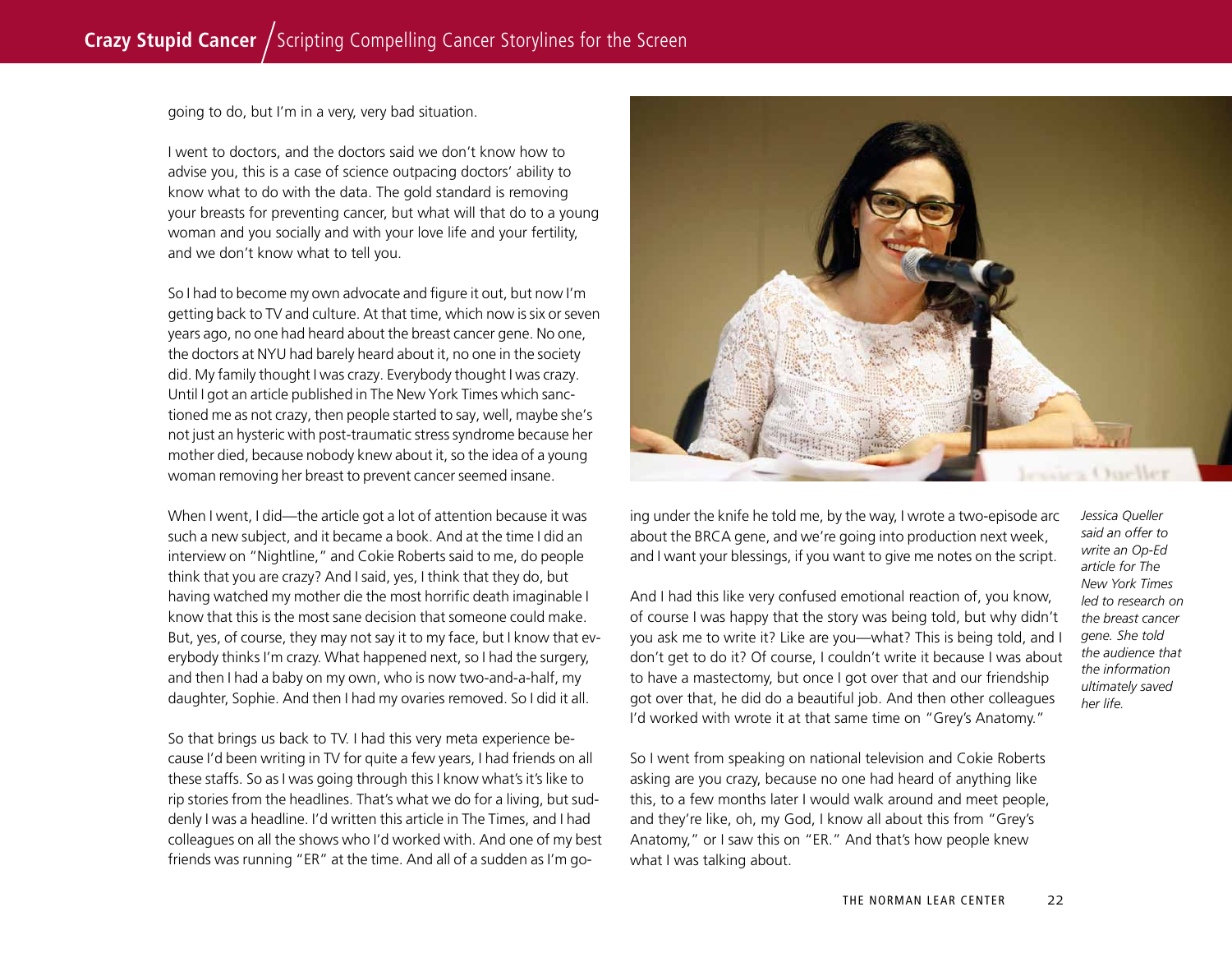going to do, but I'm in a very, very bad situation.

I went to doctors, and the doctors said we don't know how to advise you, this is a case of science outpacing doctors' ability to know what to do with the data. The gold standard is removing your breasts for preventing cancer, but what will that do to a young woman and you socially and with your love life and your fertility, and we don't know what to tell you.

So I had to become my own advocate and figure it out, but now I'm getting back to TV and culture. At that time, which now is six or seven years ago, no one had heard about the breast cancer gene. No one, the doctors at NYU had barely heard about it, no one in the society did. My family thought I was crazy. Everybody thought I was crazy. Until I got an article published in The New York Times which sanctioned me as not crazy, then people started to say, well, maybe she's not just an hysteric with post-traumatic stress syndrome because her mother died, because nobody knew about it, so the idea of a young woman removing her breast to prevent cancer seemed insane.

When I went, I did—the article got a lot of attention because it was such a new subject, and it became a book. And at the time I did an interview on "Nightline," and Cokie Roberts said to me, do people think that you are crazy? And I said, yes, I think that they do, but having watched my mother die the most horrific death imaginable I know that this is the most sane decision that someone could make. But, yes, of course, they may not say it to my face, but I know that everybody thinks I'm crazy. What happened next, so I had the surgery, and then I had a baby on my own, who is now two-and-a-half, my daughter, Sophie. And then I had my ovaries removed. So I did it all.

So that brings us back to TV. I had this very meta experience because I'd been writing in TV for quite a few years, I had friends on all these staffs. So as I was going through this I know what's it's like to rip stories from the headlines. That's what we do for a living, but suddenly I was a headline. I'd written this article in The Times, and I had colleagues on all the shows who I'd worked with. And one of my best friends was running "ER" at the time. And all of a sudden as I'm go-



ing under the knife he told me, by the way, I wrote a two-episode arc about the BRCA gene, and we're going into production next week, and I want your blessings, if you want to give me notes on the script.

And I had this like very confused emotional reaction of, you know, of course I was happy that the story was being told, but why didn't you ask me to write it? Like are you—what? This is being told, and I don't get to do it? Of course, I couldn't write it because I was about to have a mastectomy, but once I got over that and our friendship got over that, he did do a beautiful job. And then other colleagues I'd worked with wrote it at that same time on "Grey's Anatomy."

So I went from speaking on national television and Cokie Roberts asking are you crazy, because no one had heard of anything like this, to a few months later I would walk around and meet people, and they're like, oh, my God, I know all about this from "Grey's Anatomy," or I saw this on "ER." And that's how people knew what I was talking about.

*Jessica Queller said an offer to write an Op-Ed article for The New York Times led to research on the breast cancer gene. She told the audience that the information ultimately saved her life.*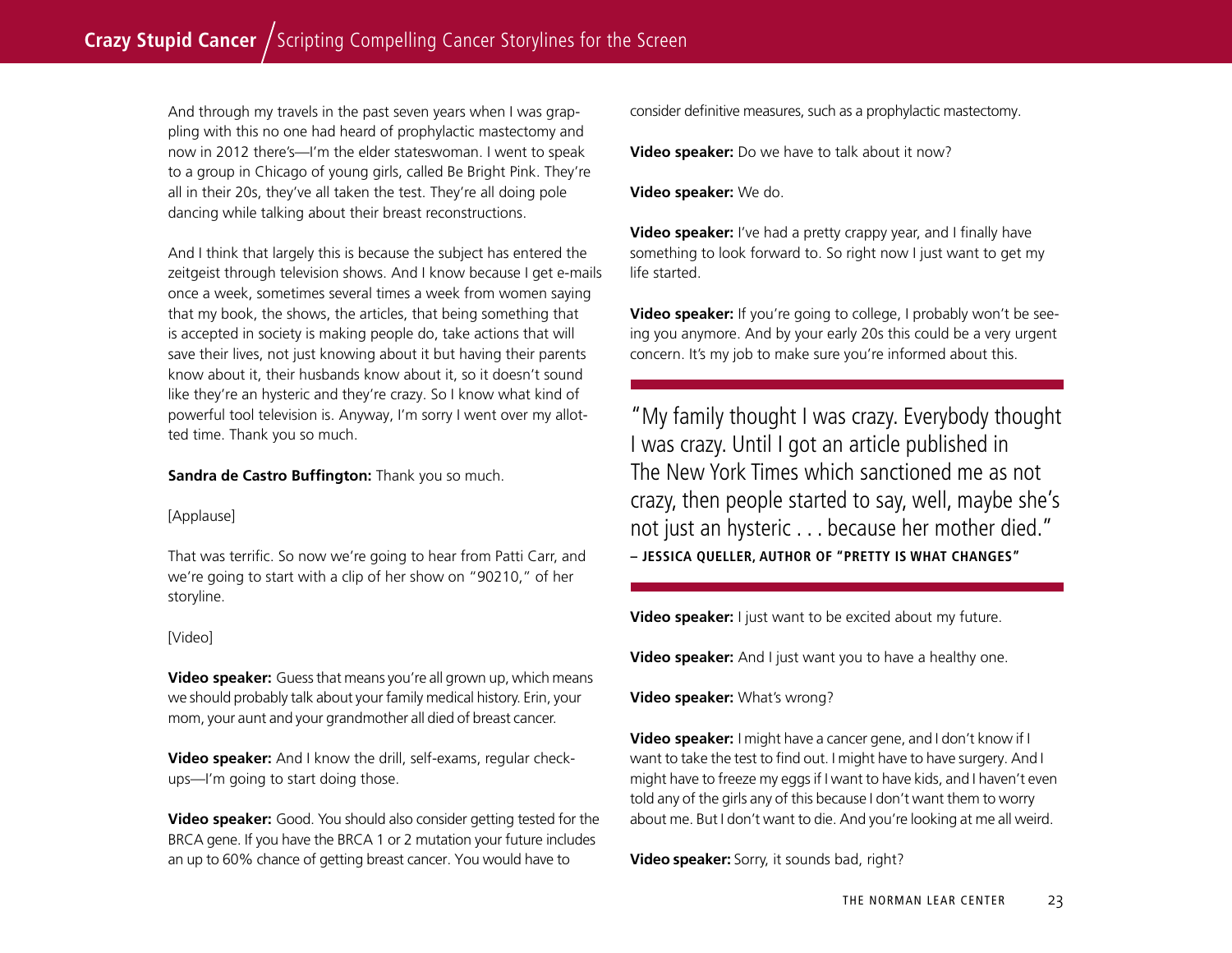And through my travels in the past seven years when I was grappling with this no one had heard of prophylactic mastectomy and now in 2012 there's—I'm the elder stateswoman. I went to speak to a group in Chicago of young girls, called Be Bright Pink. They're all in their 20s, they've all taken the test. They're all doing pole dancing while talking about their breast reconstructions.

And I think that largely this is because the subject has entered the zeitgeist through television shows. And I know because I get e-mails once a week, sometimes several times a week from women saying that my book, the shows, the articles, that being something that is accepted in society is making people do, take actions that will save their lives, not just knowing about it but having their parents know about it, their husbands know about it, so it doesn't sound like they're an hysteric and they're crazy. So I know what kind of powerful tool television is. Anyway, I'm sorry I went over my allotted time. Thank you so much.

# **Sandra de Castro Buffington:** Thank you so much.

#### [Applause]

That was terrific. So now we're going to hear from Patti Carr, and we're going to start with a clip of her show on "90210," of her storyline.

#### [Video]

**Video speaker:** Guessthat means you're all grown up, which means we should probably talk about your family medical history. Erin, your mom, your aunt and your grandmother all died of breast cancer.

**Video speaker:** And I know the drill, self-exams, regular checkups—I'm going to start doing those.

**Video speaker:** Good. You should also consider getting tested for the BRCA gene. If you have the BRCA 1 or 2 mutation your future includes an up to 60% chance of getting breast cancer. You would have to

consider definitive measures, such as a prophylactic mastectomy.

**Video speaker:** Do we have to talk about it now?

#### **Video speaker:** We do.

**Video speaker:** I've had a pretty crappy year, and I finally have something to look forward to. So right now I just want to get my life started.

**Video speaker:** If you're going to college, I probably won't be seeing you anymore. And by your early 20s this could be a very urgent concern. It's my job to make sure you're informed about this.

"My family thought I was crazy. Everybody thought I was crazy. Until I got an article published in The New York Times which sanctioned me as not crazy, then people started to say, well, maybe she's not just an hysteric . . . because her mother died." **– JESSICA QUELLER, AUTHOR OF "PRETTY IS WHAT CHANGES"**

**Video speaker:** I just want to be excited about my future.

**Video speaker:** And I just want you to have a healthy one.

**Video speaker:** What's wrong?

**Video speaker:** I might have a cancer gene, and I don't know if I want to take the test to find out. I might have to have surgery. And I might have to freeze my eggs if I want to have kids, and I haven't even told any of the girls any of this because I don't want them to worry about me. But I don't want to die. And you're looking at me all weird.

**Video speaker:** Sorry, it sounds bad, right?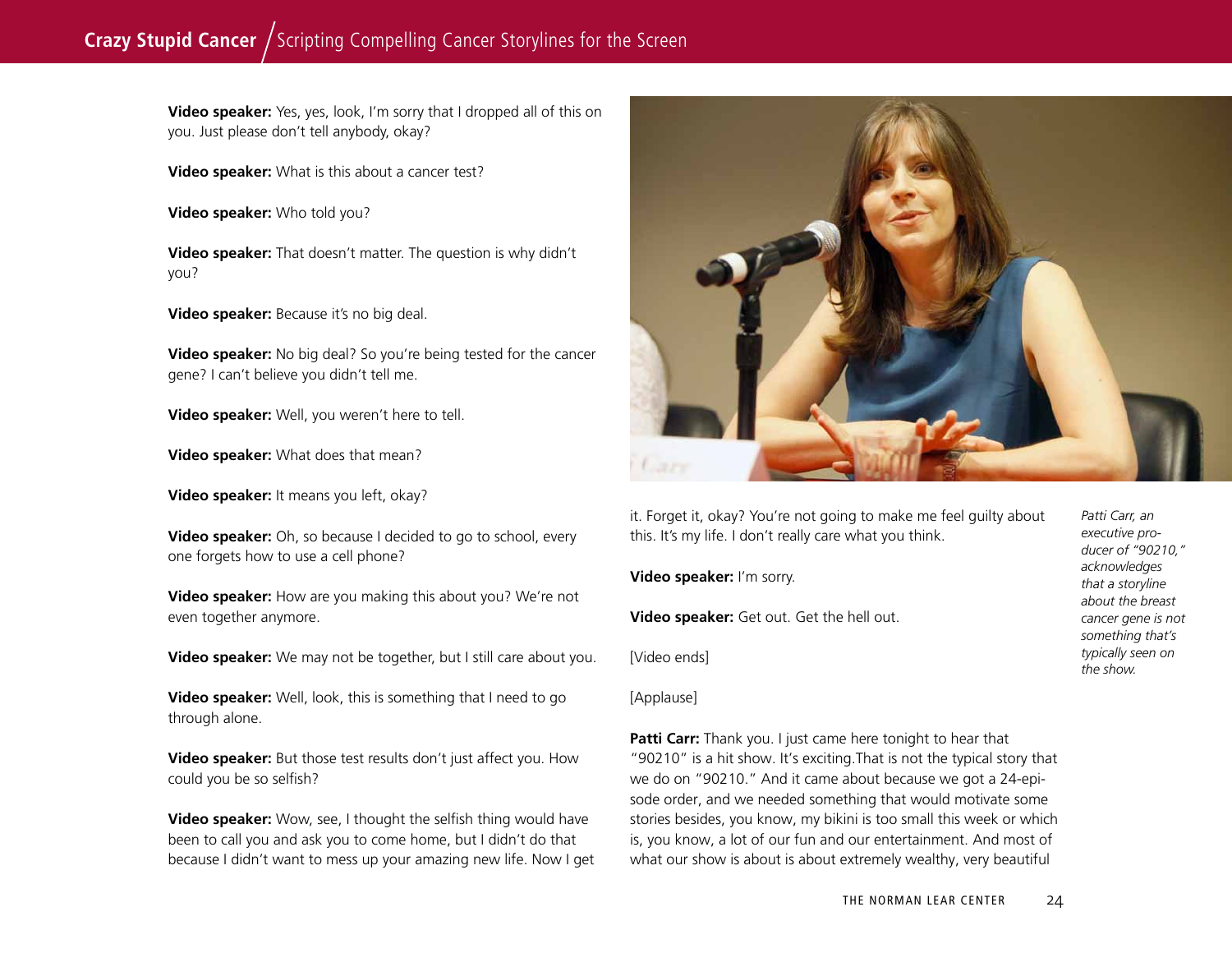# **Crazy Stupid Cancer** / Scripting Compelling Cancer Storylines for the Screen

**Video speaker:** Yes, yes, look, I'm sorry that I dropped all of this on you. Just please don't tell anybody, okay?

**Video speaker:** What is this about a cancer test?

**Video speaker:** Who told you?

**Video speaker:** That doesn't matter. The question is why didn't you?

**Video speaker:** Because it's no big deal.

**Video speaker:** No big deal? So you're being tested for the cancer gene? I can't believe you didn't tell me.

**Video speaker:** Well, you weren't here to tell.

**Video speaker:** What does that mean?

**Video speaker:** It means you left, okay?

**Video speaker:** Oh, so because I decided to go to school, every one forgets how to use a cell phone?

**Video speaker:** How are you making this about you? We're not even together anymore.

**Video speaker:** We may not be together, but I still care about you.

**Video speaker:** Well, look, this is something that I need to go through alone.

**Video speaker:** But those test results don't just affect you. How could you be so selfish?

**Video speaker:** Wow, see, I thought the selfish thing would have been to call you and ask you to come home, but I didn't do that because I didn't want to mess up your amazing new life. Now I get



it. Forget it, okay? You're not going to make me feel guilty about this. It's my life. I don't really care what you think.

**Video speaker:** I'm sorry.

**Video speaker:** Get out. Get the hell out.

[Video ends]

#### [Applause]

**Patti Carr:** Thank you. I just came here tonight to hear that "90210" is a hit show. It's exciting.That is not the typical story that we do on "90210." And it came about because we got a 24-episode order, and we needed something that would motivate some stories besides, you know, my bikini is too small this week or which is, you know, a lot of our fun and our entertainment. And most of what our show is about is about extremely wealthy, very beautiful

*Patti Carr, an executive producer of "90210," acknowledges that a storyline about the breast cancer gene is not something that's typically seen on the show.*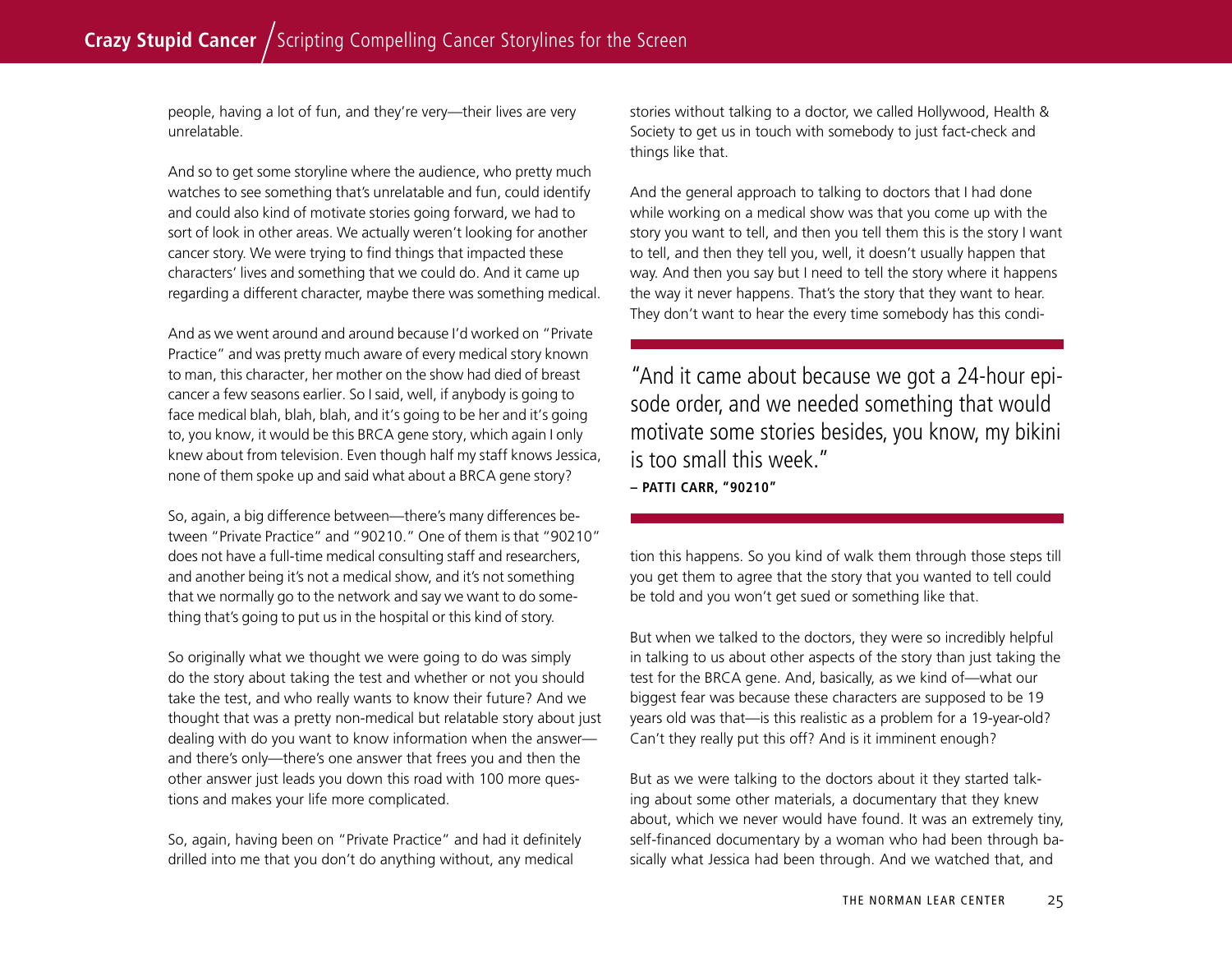people, having a lot of fun, and they're very—their lives are very unrelatable.

And so to get some storyline where the audience, who pretty much watches to see something that's unrelatable and fun, could identify and could also kind of motivate stories going forward, we had to sort of look in other areas. We actually weren't looking for another cancer story. We were trying to find things that impacted these characters' lives and something that we could do. And it came up regarding a different character, maybe there was something medical.

And as we went around and around because I'd worked on "Private Practice" and was pretty much aware of every medical story known to man, this character, her mother on the show had died of breast cancer a few seasons earlier. So I said, well, if anybody is going to face medical blah, blah, blah, and it's going to be her and it's going to, you know, it would be this BRCA gene story, which again I only knew about from television. Even though half my staff knows Jessica, none of them spoke up and said what about a BRCA gene story?

So, again, a big difference between—there's many differences between "Private Practice" and "90210." One of them is that "90210" does not have a full-time medical consulting staff and researchers, and another being it's not a medical show, and it's not something that we normally go to the network and say we want to do something that's going to put us in the hospital or this kind of story.

So originally what we thought we were going to do was simply do the story about taking the test and whether or not you should take the test, and who really wants to know their future? And we thought that was a pretty non-medical but relatable story about just dealing with do you want to know information when the answer and there's only—there's one answer that frees you and then the other answer just leads you down this road with 100 more questions and makes your life more complicated.

So, again, having been on "Private Practice" and had it definitely drilled into me that you don't do anything without, any medical

stories without talking to a doctor, we called Hollywood, Health & Society to get us in touch with somebody to just fact-check and things like that.

And the general approach to talking to doctors that I had done while working on a medical show was that you come up with the story you want to tell, and then you tell them this is the story I want to tell, and then they tell you, well, it doesn't usually happen that way. And then you say but I need to tell the story where it happens the way it never happens. That's the story that they want to hear. They don't want to hear the every time somebody has this condi-

"And it came about because we got a 24-hour episode order, and we needed something that would motivate some stories besides, you know, my bikini is too small this week." **– PATTI CARR, "90210"**

tion this happens. So you kind of walk them through those steps till you get them to agree that the story that you wanted to tell could be told and you won't get sued or something like that.

But when we talked to the doctors, they were so incredibly helpful in talking to us about other aspects of the story than just taking the test for the BRCA gene. And, basically, as we kind of—what our biggest fear was because these characters are supposed to be 19 years old was that—is this realistic as a problem for a 19-year-old? Can't they really put this off? And is it imminent enough?

But as we were talking to the doctors about it they started talking about some other materials, a documentary that they knew about, which we never would have found. It was an extremely tiny, self-financed documentary by a woman who had been through basically what Jessica had been through. And we watched that, and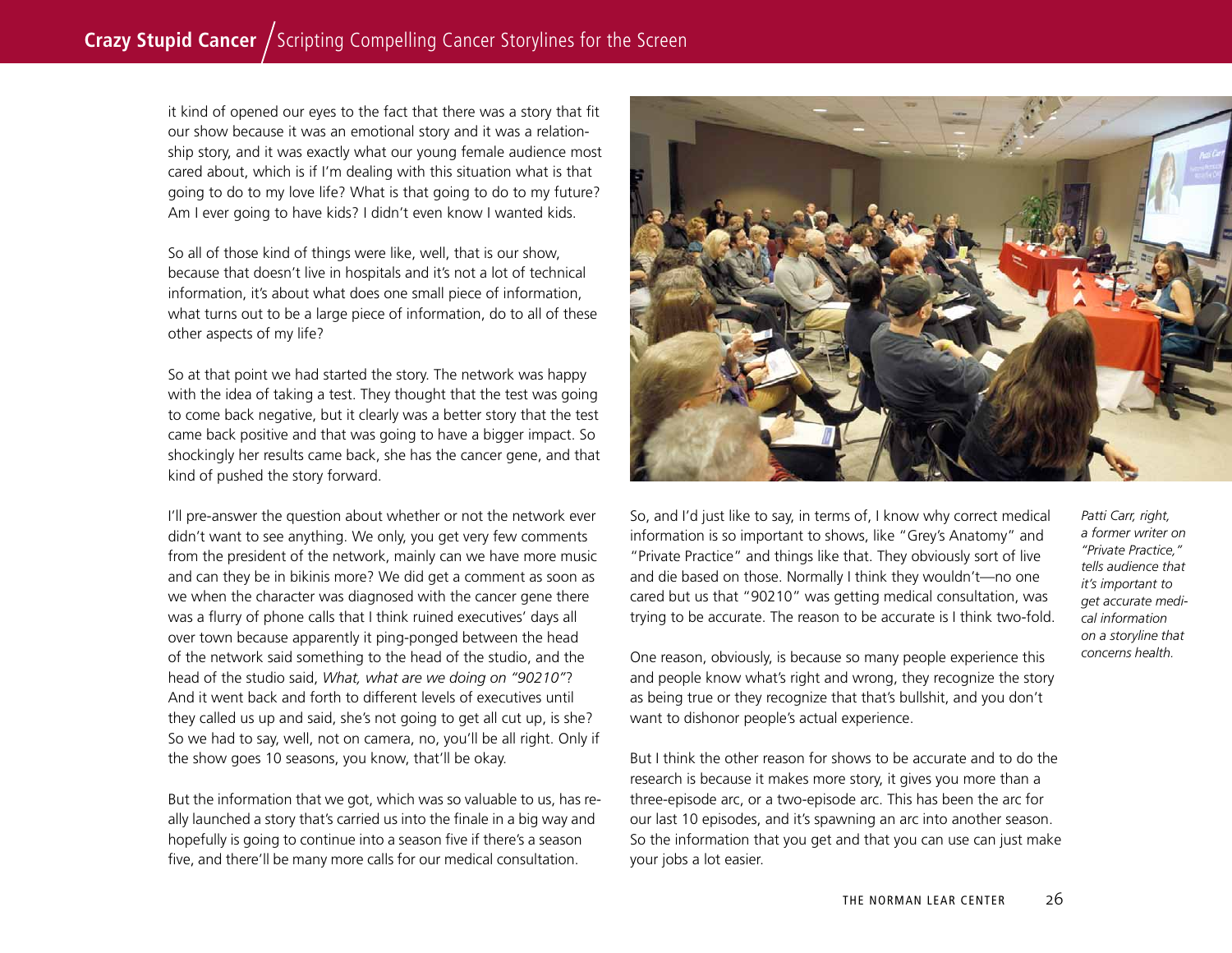it kind of opened our eyes to the fact that there was a story that fit our show because it was an emotional story and it was a relationship story, and it was exactly what our young female audience most cared about, which is if I'm dealing with this situation what is that going to do to my love life? What is that going to do to my future? Am I ever going to have kids? I didn't even know I wanted kids.

So all of those kind of things were like, well, that is our show, because that doesn't live in hospitals and it's not a lot of technical information, it's about what does one small piece of information, what turns out to be a large piece of information, do to all of these other aspects of my life?

So at that point we had started the story. The network was happy with the idea of taking a test. They thought that the test was going to come back negative, but it clearly was a better story that the test came back positive and that was going to have a bigger impact. So shockingly her results came back, she has the cancer gene, and that kind of pushed the story forward.

I'll pre-answer the question about whether or not the network ever didn't want to see anything. We only, you get very few comments from the president of the network, mainly can we have more music and can they be in bikinis more? We did get a comment as soon as we when the character was diagnosed with the cancer gene there was a flurry of phone calls that I think ruined executives' days all over town because apparently it ping-ponged between the head of the network said something to the head of the studio, and the head of the studio said, *What, what are we doing on "90210"*? And it went back and forth to different levels of executives until they called us up and said, she's not going to get all cut up, is she? So we had to say, well, not on camera, no, you'll be all right. Only if the show goes 10 seasons, you know, that'll be okay.

But the information that we got, which was so valuable to us, has really launched a story that's carried us into the finale in a big way and hopefully is going to continue into a season five if there's a season five, and there'll be many more calls for our medical consultation.



So, and I'd just like to say, in terms of, I know why correct medical information is so important to shows, like "Grey's Anatomy" and "Private Practice" and things like that. They obviously sort of live and die based on those. Normally I think they wouldn't—no one cared but us that "90210" was getting medical consultation, was trying to be accurate. The reason to be accurate is I think two-fold.

One reason, obviously, is because so many people experience this and people know what's right and wrong, they recognize the story as being true or they recognize that that's bullshit, and you don't want to dishonor people's actual experience.

But I think the other reason for shows to be accurate and to do the research is because it makes more story, it gives you more than a three-episode arc, or a two-episode arc. This has been the arc for our last 10 episodes, and it's spawning an arc into another season. So the information that you get and that you can use can just make your jobs a lot easier.

*Patti Carr, right, a former writer on "Private Practice," tells audience that it's important to get accurate medical information on a storyline that concerns health.*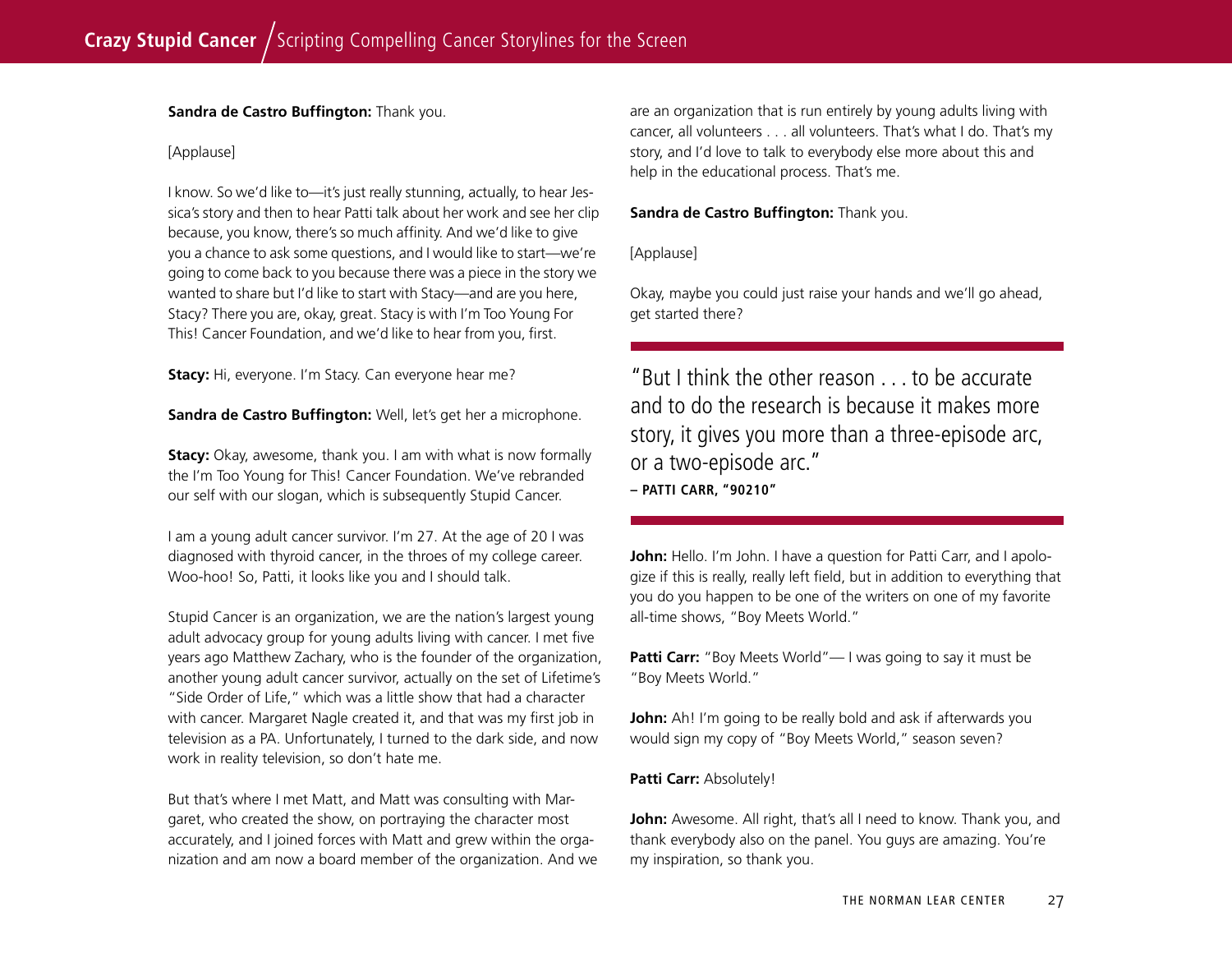# **Sandra de Castro Buffington:** Thank you.

### [Applause]

I know. So we'd like to—it's just really stunning, actually, to hear Jessica's story and then to hear Patti talk about her work and see her clip because, you know, there's so much affinity. And we'd like to give you a chance to ask some questions, and I would like to start—we're going to come back to you because there was a piece in the story we wanted to share but I'd like to start with Stacy—and are you here, Stacy? There you are, okay, great. Stacy is with I'm Too Young For This! Cancer Foundation, and we'd like to hear from you, first.

**Stacy:** Hi, everyone. I'm Stacy. Can everyone hear me?

**Sandra de Castro Buffington:** Well, let's get her a microphone.

**Stacy:** Okay, awesome, thank you. I am with what is now formally the I'm Too Young for This! Cancer Foundation. We've rebranded our self with our slogan, which is subsequently Stupid Cancer.

I am a young adult cancer survivor. I'm 27. At the age of 20 I was diagnosed with thyroid cancer, in the throes of my college career. Woo-hoo! So, Patti, it looks like you and I should talk.

Stupid Cancer is an organization, we are the nation's largest young adult advocacy group for young adults living with cancer. I met five years ago Matthew Zachary, who is the founder of the organization, another young adult cancer survivor, actually on the set of Lifetime's "Side Order of Life," which was a little show that had a character with cancer. Margaret Nagle created it, and that was my first job in television as a PA. Unfortunately, I turned to the dark side, and now work in reality television, so don't hate me.

But that's where I met Matt, and Matt was consulting with Margaret, who created the show, on portraying the character most accurately, and I joined forces with Matt and grew within the organization and am now a board member of the organization. And we are an organization that is run entirely by young adults living with cancer, all volunteers . . . all volunteers. That's what I do. That's my story, and I'd love to talk to everybody else more about this and help in the educational process. That's me.

# **Sandra de Castro Buffington:** Thank you.

# [Applause]

Okay, maybe you could just raise your hands and we'll go ahead, get started there?

"But I think the other reason . . . to be accurate and to do the research is because it makes more story, it gives you more than a three-episode arc, or a two-episode arc." **– PATTI CARR, "90210"**

John: Hello. I'm John. I have a question for Patti Carr, and I apologize if this is really, really left field, but in addition to everything that you do you happen to be one of the writers on one of my favorite all-time shows, "Boy Meets World."

**Patti Carr:** "Boy Meets World"— I was going to say it must be "Boy Meets World."

**John:** Ah! I'm going to be really bold and ask if afterwards you would sign my copy of "Boy Meets World," season seven?

**Patti Carr:** Absolutely!

John: Awesome. All right, that's all I need to know. Thank you, and thank everybody also on the panel. You guys are amazing. You're my inspiration, so thank you.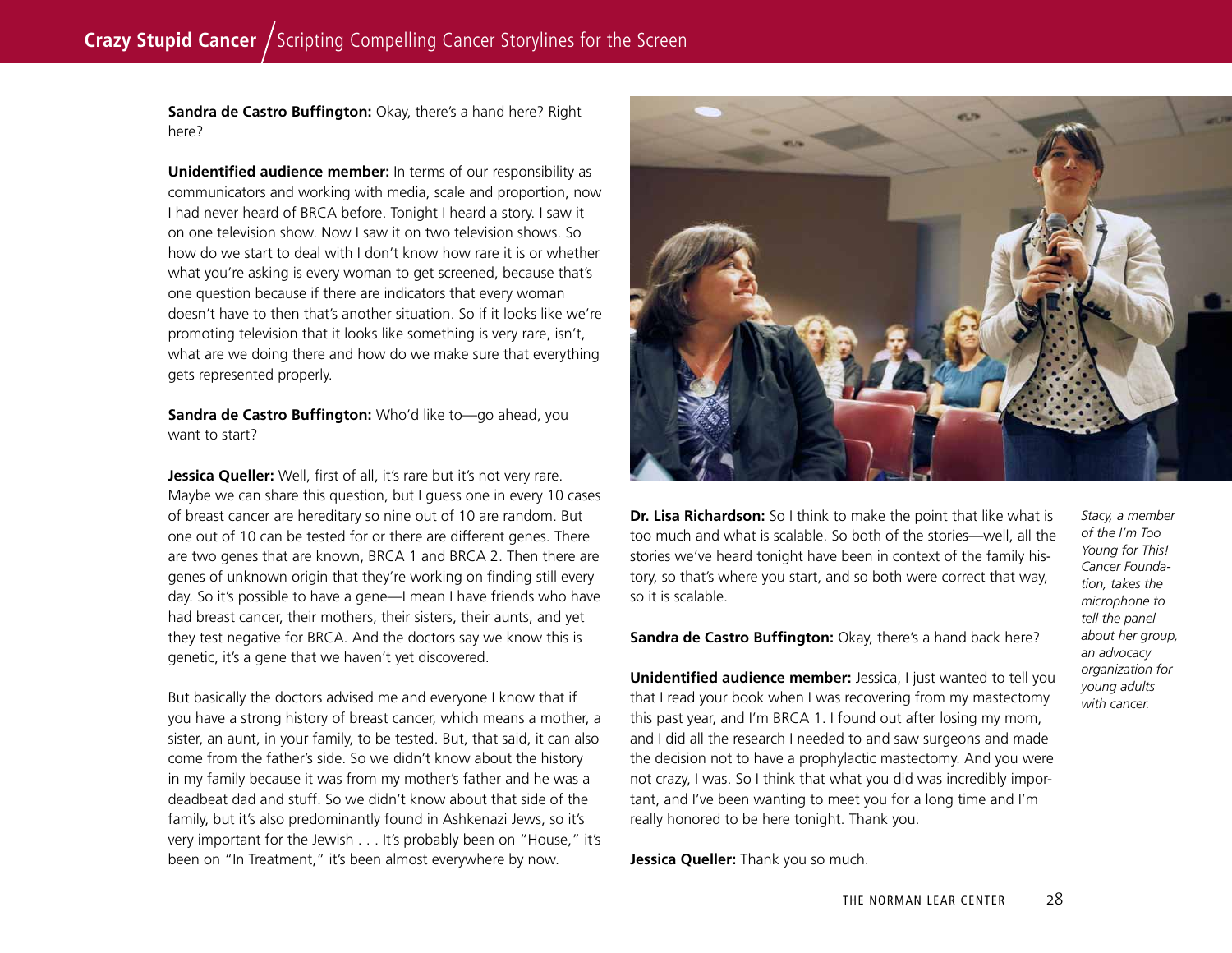**Sandra de Castro Buffington:** Okay, there's a hand here? Right here?

**Unidentified audience member:** In terms of our responsibility as communicators and working with media, scale and proportion, now I had never heard of BRCA before. Tonight I heard a story. I saw it on one television show. Now I saw it on two television shows. So how do we start to deal with I don't know how rare it is or whether what you're asking is every woman to get screened, because that's one question because if there are indicators that every woman doesn't have to then that's another situation. So if it looks like we're promoting television that it looks like something is very rare, isn't, what are we doing there and how do we make sure that everything gets represented properly.

**Sandra de Castro Buffington:** Who'd like to—go ahead, you want to start?

Jessica Queller: Well, first of all, it's rare but it's not very rare. Maybe we can share this question, but I guess one in every 10 cases of breast cancer are hereditary so nine out of 10 are random. But one out of 10 can be tested for or there are different genes. There are two genes that are known, BRCA 1 and BRCA 2. Then there are genes of unknown origin that they're working on finding still every day. So it's possible to have a gene—I mean I have friends who have had breast cancer, their mothers, their sisters, their aunts, and yet they test negative for BRCA. And the doctors say we know this is genetic, it's a gene that we haven't yet discovered.

But basically the doctors advised me and everyone I know that if you have a strong history of breast cancer, which means a mother, a sister, an aunt, in your family, to be tested. But, that said, it can also come from the father's side. So we didn't know about the history in my family because it was from my mother's father and he was a deadbeat dad and stuff. So we didn't know about that side of the family, but it's also predominantly found in Ashkenazi Jews, so it's very important for the Jewish . . . It's probably been on "House," it's been on "In Treatment," it's been almost everywhere by now.



**Dr. Lisa Richardson:** So I think to make the point that like what is too much and what is scalable. So both of the stories—well, all the stories we've heard tonight have been in context of the family history, so that's where you start, and so both were correct that way, so it is scalable.

**Sandra de Castro Buffington:** Okay, there's a hand back here?

**Unidentified audience member:** Jessica, I just wanted to tell you that I read your book when I was recovering from my mastectomy this past year, and I'm BRCA 1. I found out after losing my mom, and I did all the research I needed to and saw surgeons and made the decision not to have a prophylactic mastectomy. And you were not crazy, I was. So I think that what you did was incredibly important, and I've been wanting to meet you for a long time and I'm really honored to be here tonight. Thank you.

**Jessica Queller:** Thank you so much.

*Stacy, a member of the I'm Too Young for This! Cancer Foundation, takes the microphone to tell the panel about her group, an advocacy organization for young adults with cancer.*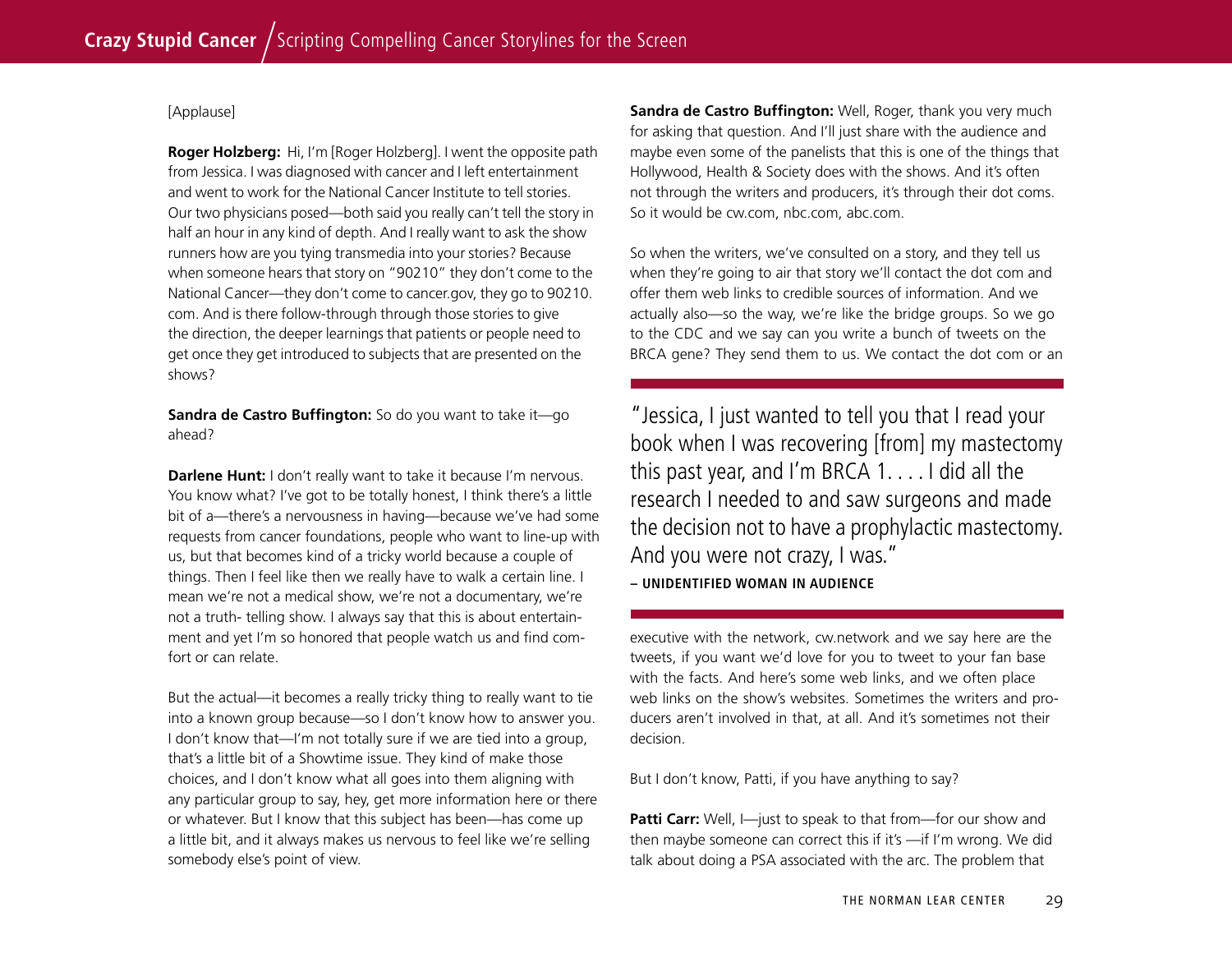# [Applause]

**Roger Holzberg:** Hi, I'm [Roger Holzberg]. I went the opposite path from Jessica. I was diagnosed with cancer and I left entertainment and went to work for the National Cancer Institute to tell stories. Our two physicians posed—both said you really can't tell the story in half an hour in any kind of depth. And I really want to ask the show runners how are you tying transmedia into your stories? Because when someone hears that story on "90210" they don't come to the National Cancer—they don't come to cancer.gov, they go to 90210. com. And is there follow-through through those stories to give the direction, the deeper learnings that patients or people need to get once they get introduced to subjects that are presented on the shows?

**Sandra de Castro Buffington:** So do you want to take it—go ahead?

**Darlene Hunt:** I don't really want to take it because I'm nervous. You know what? I've got to be totally honest, I think there's a little bit of a—there's a nervousness in having—because we've had some requests from cancer foundations, people who want to line-up with us, but that becomes kind of a tricky world because a couple of things. Then I feel like then we really have to walk a certain line. I mean we're not a medical show, we're not a documentary, we're not a truth- telling show. I always say that this is about entertainment and yet I'm so honored that people watch us and find comfort or can relate.

But the actual—it becomes a really tricky thing to really want to tie into a known group because—so I don't know how to answer you. I don't know that—I'm not totally sure if we are tied into a group, that's a little bit of a Showtime issue. They kind of make those choices, and I don't know what all goes into them aligning with any particular group to say, hey, get more information here or there or whatever. But I know that this subject has been—has come up a little bit, and it always makes us nervous to feel like we're selling somebody else's point of view.

**Sandra de Castro Buffington:** Well, Roger, thank you very much for asking that question. And I'll just share with the audience and maybe even some of the panelists that this is one of the things that Hollywood, Health & Society does with the shows. And it's often not through the writers and producers, it's through their dot coms. So it would be cw.com, nbc.com, abc.com.

So when the writers, we've consulted on a story, and they tell us when they're going to air that story we'll contact the dot com and offer them web links to credible sources of information. And we actually also—so the way, we're like the bridge groups. So we go to the CDC and we say can you write a bunch of tweets on the BRCA gene? They send them to us. We contact the dot com or an

"Jessica, I just wanted to tell you that I read your book when I was recovering [from] my mastectomy this past year, and I'm BRCA 1. . . . I did all the research I needed to and saw surgeons and made the decision not to have a prophylactic mastectomy. And you were not crazy, I was." **– UNIDENTIFIED WOMAN IN AUDIENCE**

executive with the network, cw.network and we say here are the tweets, if you want we'd love for you to tweet to your fan base with the facts. And here's some web links, and we often place web links on the show's websites. Sometimes the writers and producers aren't involved in that, at all. And it's sometimes not their decision.

But I don't know, Patti, if you have anything to say?

**Patti Carr:** Well, I—just to speak to that from—for our show and then maybe someone can correct this if it's —if I'm wrong. We did talk about doing a PSA associated with the arc. The problem that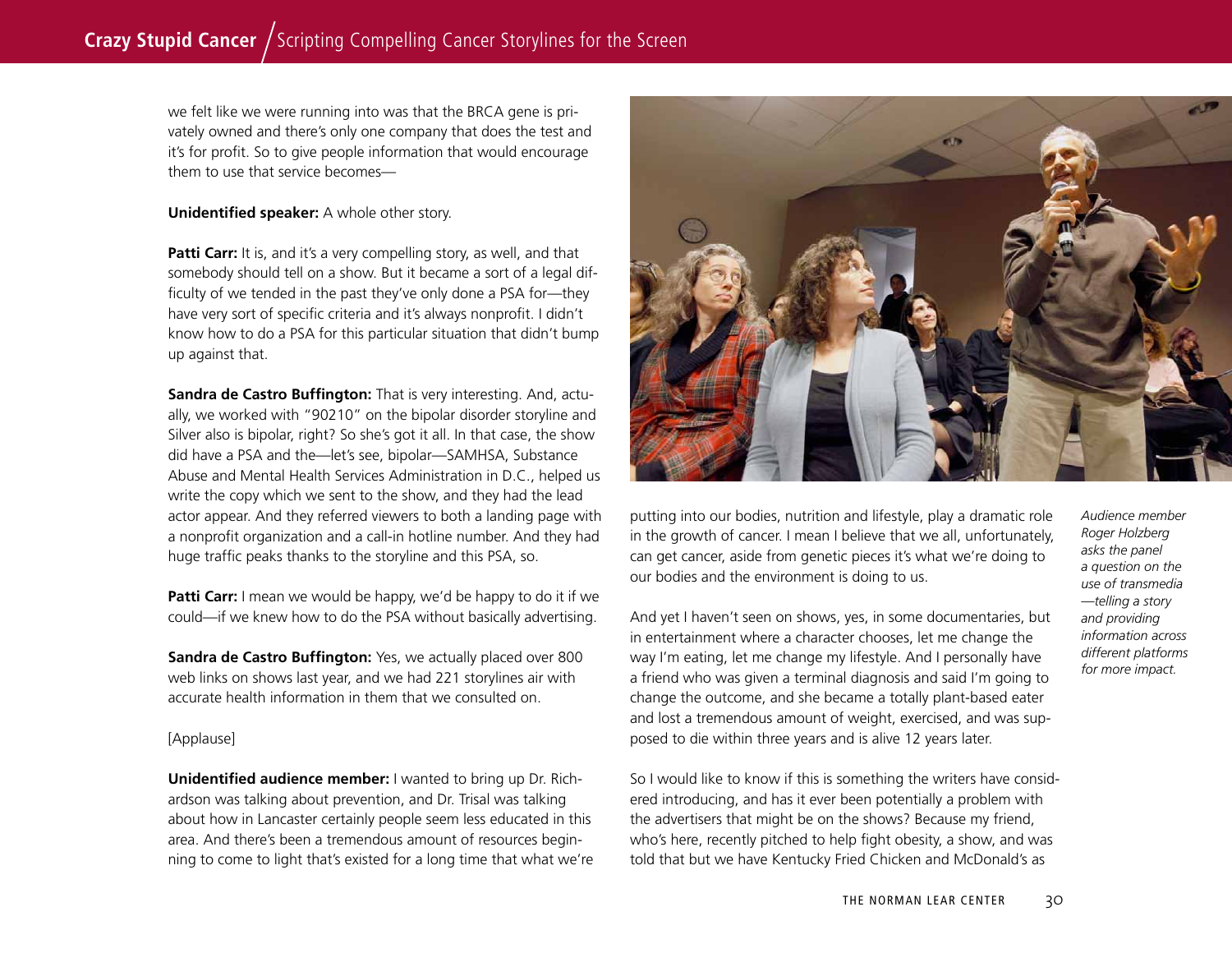we felt like we were running into was that the BRCA gene is privately owned and there's only one company that does the test and it's for profit. So to give people information that would encourage them to use that service becomes—

# **Unidentified speaker:** A whole other story.

Patti Carr: It is, and it's a very compelling story, as well, and that somebody should tell on a show. But it became a sort of a legal difficulty of we tended in the past they've only done a PSA for—they have very sort of specific criteria and it's always nonprofit. I didn't know how to do a PSA for this particular situation that didn't bump up against that.

**Sandra de Castro Buffington:** That is very interesting. And, actually, we worked with "90210" on the bipolar disorder storyline and Silver also is bipolar, right? So she's got it all. In that case, the show did have a PSA and the—let's see, bipolar—SAMHSA, Substance Abuse and Mental Health Services Administration in D.C., helped us write the copy which we sent to the show, and they had the lead actor appear. And they referred viewers to both a landing page with a nonprofit organization and a call-in hotline number. And they had huge traffic peaks thanks to the storyline and this PSA, so.

**Patti Carr:** I mean we would be happy, we'd be happy to do it if we could—if we knew how to do the PSA without basically advertising.

**Sandra de Castro Buffington:** Yes, we actually placed over 800 web links on shows last year, and we had 221 storylines air with accurate health information in them that we consulted on.

## [Applause]

**Unidentified audience member:** I wanted to bring up Dr. Richardson was talking about prevention, and Dr. Trisal was talking about how in Lancaster certainly people seem less educated in this area. And there's been a tremendous amount of resources beginning to come to light that's existed for a long time that what we're



putting into our bodies, nutrition and lifestyle, play a dramatic role in the growth of cancer. I mean I believe that we all, unfortunately, can get cancer, aside from genetic pieces it's what we're doing to our bodies and the environment is doing to us.

And yet I haven't seen on shows, yes, in some documentaries, but in entertainment where a character chooses, let me change the way I'm eating, let me change my lifestyle. And I personally have a friend who was given a terminal diagnosis and said I'm going to change the outcome, and she became a totally plant-based eater and lost a tremendous amount of weight, exercised, and was supposed to die within three years and is alive 12 years later.

So I would like to know if this is something the writers have considered introducing, and has it ever been potentially a problem with the advertisers that might be on the shows? Because my friend, who's here, recently pitched to help fight obesity, a show, and was told that but we have Kentucky Fried Chicken and McDonald's as

*Audience member Roger Holzberg asks the panel a question on the use of transmedia —telling a story and providing information across different platforms for more impact.*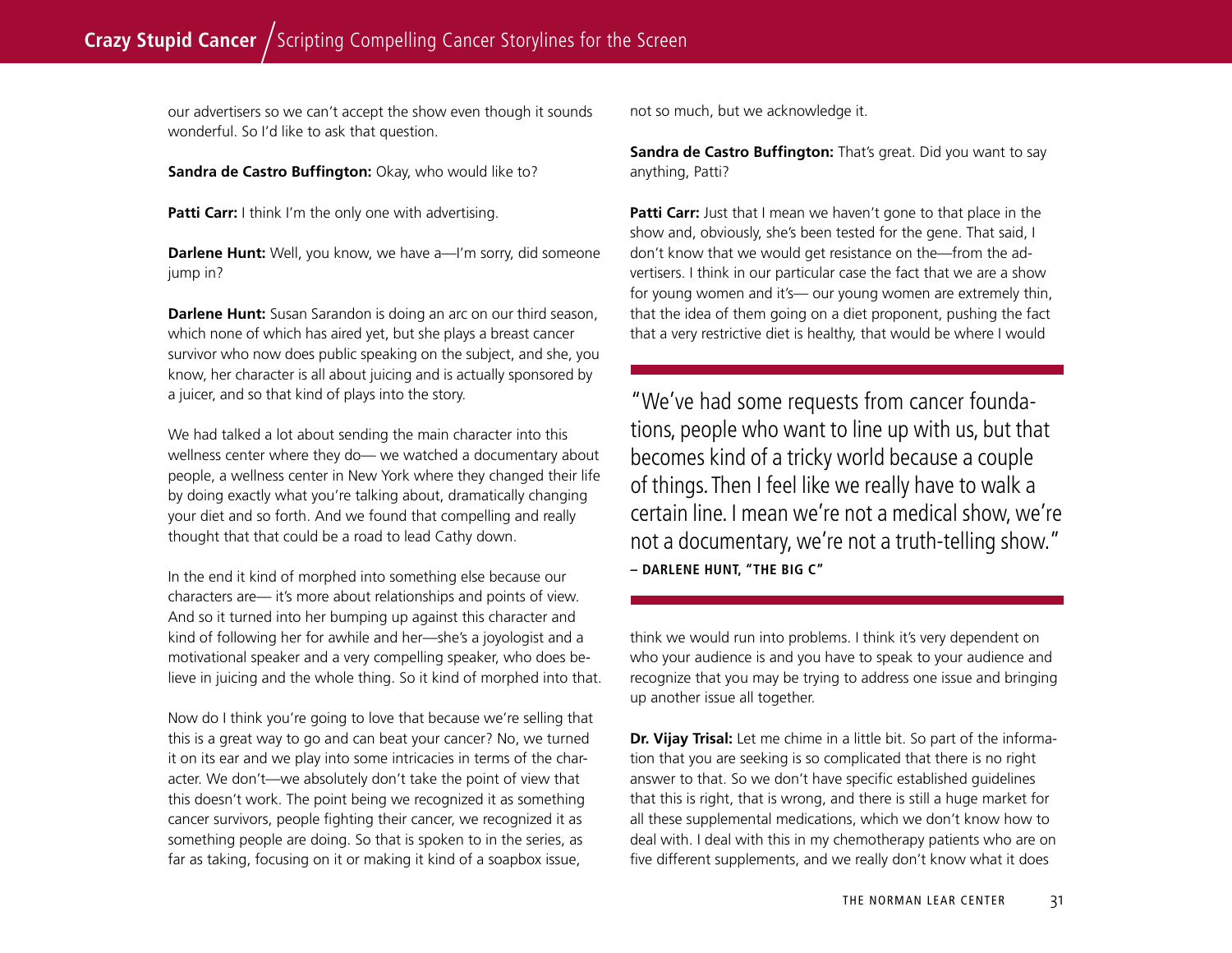our advertisers so we can't accept the show even though it sounds wonderful. So I'd like to ask that question.

**Sandra de Castro Buffington:** Okay, who would like to?

**Patti Carr:** I think I'm the only one with advertising.

**Darlene Hunt:** Well, you know, we have a—I'm sorry, did someone jump in?

**Darlene Hunt:** Susan Sarandon is doing an arc on our third season, which none of which has aired yet, but she plays a breast cancer survivor who now does public speaking on the subject, and she, you know, her character is all about juicing and is actually sponsored by a juicer, and so that kind of plays into the story.

We had talked a lot about sending the main character into this wellness center where they do— we watched a documentary about people, a wellness center in New York where they changed their life by doing exactly what you're talking about, dramatically changing your diet and so forth. And we found that compelling and really thought that that could be a road to lead Cathy down.

In the end it kind of morphed into something else because our characters are— it's more about relationships and points of view. And so it turned into her bumping up against this character and kind of following her for awhile and her—she's a joyologist and a motivational speaker and a very compelling speaker, who does believe in juicing and the whole thing. So it kind of morphed into that.

Now do I think you're going to love that because we're selling that this is a great way to go and can beat your cancer? No, we turned it on its ear and we play into some intricacies in terms of the character. We don't—we absolutely don't take the point of view that this doesn't work. The point being we recognized it as something cancer survivors, people fighting their cancer, we recognized it as something people are doing. So that is spoken to in the series, as far as taking, focusing on it or making it kind of a soapbox issue,

not so much, but we acknowledge it.

**Sandra de Castro Buffington:** That's great. Did you want to say anything, Patti?

**Patti Carr:** Just that I mean we haven't gone to that place in the show and, obviously, she's been tested for the gene. That said, I don't know that we would get resistance on the—from the advertisers. I think in our particular case the fact that we are a show for young women and it's— our young women are extremely thin, that the idea of them going on a diet proponent, pushing the fact that a very restrictive diet is healthy, that would be where I would

"We've had some requests from cancer foundations, people who want to line up with us, but that becomes kind of a tricky world because a couple of things. Then I feel like we really have to walk a certain line. I mean we're not a medical show, we're not a documentary, we're not a truth-telling show." **– DARLENE HUNT, "THE BIG C"**

think we would run into problems. I think it's very dependent on who your audience is and you have to speak to your audience and recognize that you may be trying to address one issue and bringing up another issue all together.

**Dr. Vijay Trisal:** Let me chime in a little bit. So part of the information that you are seeking is so complicated that there is no right answer to that. So we don't have specific established guidelines that this is right, that is wrong, and there is still a huge market for all these supplemental medications, which we don't know how to deal with. I deal with this in my chemotherapy patients who are on five different supplements, and we really don't know what it does